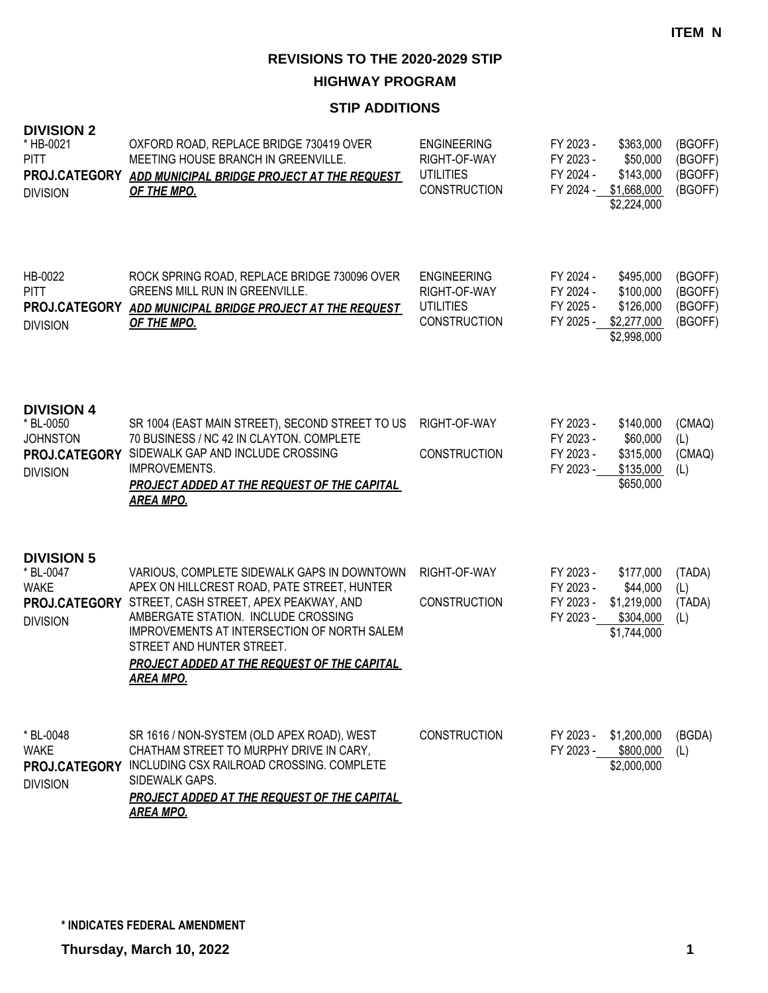**HIGHWAY PROGRAM**

#### **STIP ADDITIONS**

| <b>DIVISION 2</b><br>* HB-0021<br><b>PITT</b><br>PROJ.CATEGORY<br><b>DIVISION</b>     | OXFORD ROAD, REPLACE BRIDGE 730419 OVER<br>MEETING HOUSE BRANCH IN GREENVILLE.<br>ADD MUNICIPAL BRIDGE PROJECT AT THE REQUEST<br>OF THE MPO.                                                                                                                                                                                      | <b>ENGINEERING</b><br>RIGHT-OF-WAY<br><b>UTILITIES</b><br><b>CONSTRUCTION</b> | FY 2023 -<br>FY 2023 -<br>FY 2024 -              | \$363,000<br>\$50,000<br>\$143,000<br>FY 2024 - \$1,668,000<br>\$2,224,000  | (BGOFF)<br>(BGOFF)<br>(BGOFF)<br>(BGOFF) |
|---------------------------------------------------------------------------------------|-----------------------------------------------------------------------------------------------------------------------------------------------------------------------------------------------------------------------------------------------------------------------------------------------------------------------------------|-------------------------------------------------------------------------------|--------------------------------------------------|-----------------------------------------------------------------------------|------------------------------------------|
| HB-0022<br><b>PITT</b><br>PROJ.CATEGORY<br><b>DIVISION</b>                            | ROCK SPRING ROAD, REPLACE BRIDGE 730096 OVER<br><b>GREENS MILL RUN IN GREENVILLE.</b><br>ADD MUNICIPAL BRIDGE PROJECT AT THE REQUEST<br>OF THE MPO.                                                                                                                                                                               | <b>ENGINEERING</b><br>RIGHT-OF-WAY<br><b>UTILITIES</b><br><b>CONSTRUCTION</b> | FY 2024 -<br>FY 2024 -<br>FY 2025 -              | \$495,000<br>\$100,000<br>\$126,000<br>FY 2025 - \$2,277,000<br>\$2,998,000 | (BGOFF)<br>(BGOFF)<br>(BGOFF)<br>(BGOFF) |
| <b>DIVISION 4</b><br>* BL-0050<br><b>JOHNSTON</b><br>PROJ.CATEGORY<br><b>DIVISION</b> | SR 1004 (EAST MAIN STREET), SECOND STREET TO US<br>70 BUSINESS / NC 42 IN CLAYTON. COMPLETE<br>SIDEWALK GAP AND INCLUDE CROSSING<br>IMPROVEMENTS.<br>PROJECT ADDED AT THE REQUEST OF THE CAPITAL<br><b>AREA MPO.</b>                                                                                                              | RIGHT-OF-WAY<br><b>CONSTRUCTION</b>                                           | FY 2023 -<br>FY 2023 -<br>FY 2023 -<br>FY 2023 - | \$140,000<br>\$60,000<br>\$315,000<br>\$135,000<br>\$650,000                | (CMAQ)<br>(L)<br>(CMAQ)<br>(L)           |
| <b>DIVISION 5</b><br>* BL-0047<br><b>WAKE</b><br>PROJ.CATEGORY<br><b>DIVISION</b>     | VARIOUS, COMPLETE SIDEWALK GAPS IN DOWNTOWN<br>APEX ON HILLCREST ROAD, PATE STREET, HUNTER<br>STREET, CASH STREET, APEX PEAKWAY, AND<br>AMBERGATE STATION. INCLUDE CROSSING<br>IMPROVEMENTS AT INTERSECTION OF NORTH SALEM<br>STREET AND HUNTER STREET.<br><b>PROJECT ADDED AT THE REQUEST OF THE CAPITAL</b><br><b>AREA MPO.</b> | RIGHT-OF-WAY<br><b>CONSTRUCTION</b>                                           | FY 2023 -<br>FY 2023 -<br>FY 2023 -<br>FY 2023 - | \$177,000<br>\$44,000<br>\$1,219,000<br>\$304,000<br>\$1,744,000            | (TADA)<br>(L)<br>(TADA)<br>(L)           |
| * BL-0048<br><b>WAKE</b><br><b>DIVISION</b>                                           | SR 1616 / NON-SYSTEM (OLD APEX ROAD), WEST<br>CHATHAM STREET TO MURPHY DRIVE IN CARY,<br>PROJ.CATEGORY INCLUDING CSX RAILROAD CROSSING. COMPLETE<br>SIDEWALK GAPS.<br>PROJECT ADDED AT THE REQUEST OF THE CAPITAL<br><b>AREA MPO.</b>                                                                                             | <b>CONSTRUCTION</b>                                                           | FY 2023 -<br>FY 2023 -                           | \$1,200,000<br>\$800,000<br>\$2,000,000                                     | (BGDA)<br>(L)                            |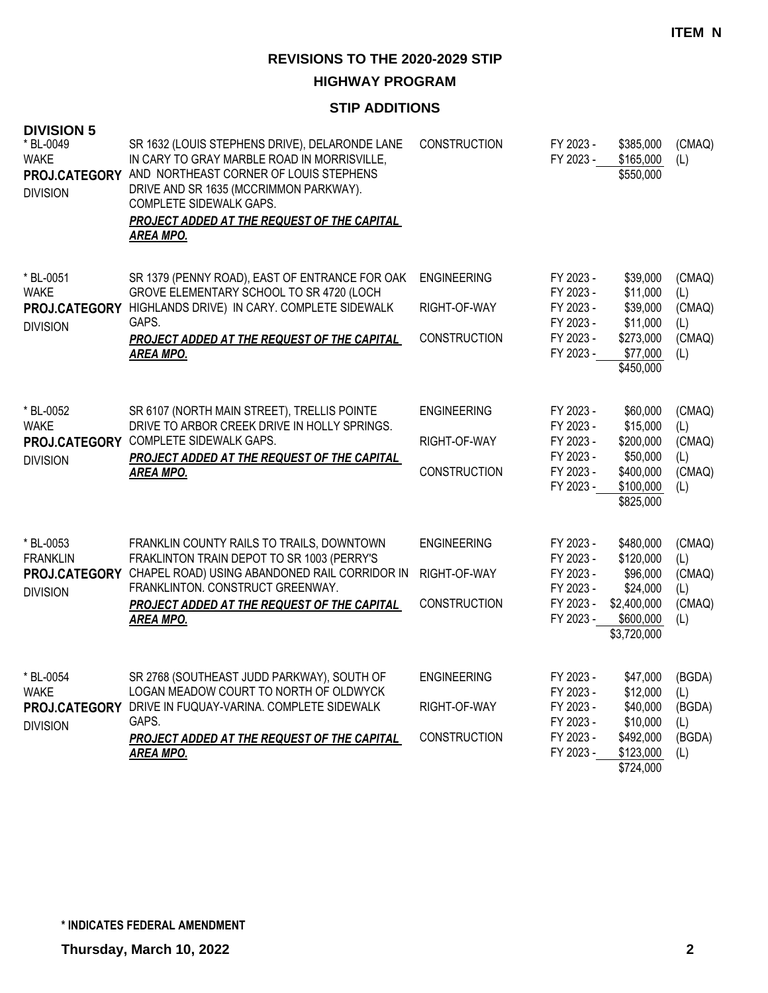**HIGHWAY PROGRAM**

#### **STIP ADDITIONS**

| <b>DIVISION 5</b><br>* BL-0049<br><b>WAKE</b><br><b>DIVISION</b> | SR 1632 (LOUIS STEPHENS DRIVE), DELARONDE LANE<br>IN CARY TO GRAY MARBLE ROAD IN MORRISVILLE,<br>PROJ.CATEGORY AND NORTHEAST CORNER OF LOUIS STEPHENS<br>DRIVE AND SR 1635 (MCCRIMMON PARKWAY).<br>COMPLETE SIDEWALK GAPS.<br><b>PROJECT ADDED AT THE REQUEST OF THE CAPITAL</b><br><b>AREA MPO.</b> | <b>CONSTRUCTION</b>                                       | FY 2023 -<br>FY 2023 -                                                     | \$385,000<br>\$165,000<br>\$550,000                                                       | (CMAQ)<br>(L)                                   |
|------------------------------------------------------------------|------------------------------------------------------------------------------------------------------------------------------------------------------------------------------------------------------------------------------------------------------------------------------------------------------|-----------------------------------------------------------|----------------------------------------------------------------------------|-------------------------------------------------------------------------------------------|-------------------------------------------------|
| * BL-0051<br><b>WAKE</b><br><b>DIVISION</b>                      | SR 1379 (PENNY ROAD), EAST OF ENTRANCE FOR OAK<br>GROVE ELEMENTARY SCHOOL TO SR 4720 (LOCH<br>PROJ.CATEGORY HIGHLANDS DRIVE) IN CARY. COMPLETE SIDEWALK<br>GAPS.<br>PROJECT ADDED AT THE REQUEST OF THE CAPITAL<br><b>AREA MPO.</b>                                                                  | <b>ENGINEERING</b><br>RIGHT-OF-WAY<br><b>CONSTRUCTION</b> | FY 2023 -<br>FY 2023 -<br>FY 2023 -<br>FY 2023 -<br>FY 2023 -<br>FY 2023 - | \$39,000<br>\$11,000<br>\$39,000<br>\$11,000<br>\$273,000<br>\$77,000<br>\$450,000        | (CMAQ)<br>(L)<br>(CMAQ)<br>(L)<br>(CMAQ)<br>(L) |
| * BL-0052<br><b>WAKE</b><br><b>DIVISION</b>                      | SR 6107 (NORTH MAIN STREET), TRELLIS POINTE<br>DRIVE TO ARBOR CREEK DRIVE IN HOLLY SPRINGS.<br>PROJ.CATEGORY COMPLETE SIDEWALK GAPS.<br>PROJECT ADDED AT THE REQUEST OF THE CAPITAL<br><b>AREA MPO.</b>                                                                                              | <b>ENGINEERING</b><br>RIGHT-OF-WAY<br><b>CONSTRUCTION</b> | FY 2023 -<br>FY 2023 -<br>FY 2023 -<br>FY 2023 -<br>FY 2023 -<br>FY 2023 - | \$60,000<br>\$15,000<br>\$200,000<br>\$50,000<br>\$400,000<br>\$100,000<br>\$825,000      | (CMAQ)<br>(L)<br>(CMAQ)<br>(L)<br>(CMAQ)<br>(L) |
| * BL-0053<br><b>FRANKLIN</b><br><b>DIVISION</b>                  | FRANKLIN COUNTY RAILS TO TRAILS, DOWNTOWN<br>FRAKLINTON TRAIN DEPOT TO SR 1003 (PERRY'S<br>PROJ.CATEGORY CHAPEL ROAD) USING ABANDONED RAIL CORRIDOR IN<br>FRANKLINTON. CONSTRUCT GREENWAY.<br>PROJECT ADDED AT THE REQUEST OF THE CAPITAL<br><b>AREA MPO.</b>                                        | <b>ENGINEERING</b><br>RIGHT-OF-WAY<br><b>CONSTRUCTION</b> | FY 2023 -<br>FY 2023 -<br>FY 2023 -<br>FY 2023 -<br>FY 2023 -<br>FY 2023 - | \$480,000<br>\$120,000<br>\$96,000<br>\$24,000<br>\$2,400,000<br>\$600,000<br>\$3,720,000 | (CMAQ)<br>(L)<br>(CMAQ)<br>(L)<br>(CMAQ)<br>(L) |
| * BL-0054<br><b>WAKE</b><br><b>DIVISION</b>                      | SR 2768 (SOUTHEAST JUDD PARKWAY), SOUTH OF<br>LOGAN MEADOW COURT TO NORTH OF OLDWYCK<br>PROJ.CATEGORY DRIVE IN FUQUAY-VARINA. COMPLETE SIDEWALK<br>GAPS.<br><b>PROJECT ADDED AT THE REQUEST OF THE CAPITAL</b><br><b>AREA MPO.</b>                                                                   | <b>ENGINEERING</b><br>RIGHT-OF-WAY<br><b>CONSTRUCTION</b> | FY 2023 -<br>FY 2023 -<br>FY 2023 -<br>FY 2023 -<br>FY 2023 -<br>FY 2023 - | \$47,000<br>\$12,000<br>\$40,000<br>\$10,000<br>\$492,000<br>\$123,000<br>\$724,000       | (BGDA)<br>(L)<br>(BGDA)<br>(L)<br>(BGDA)<br>(L) |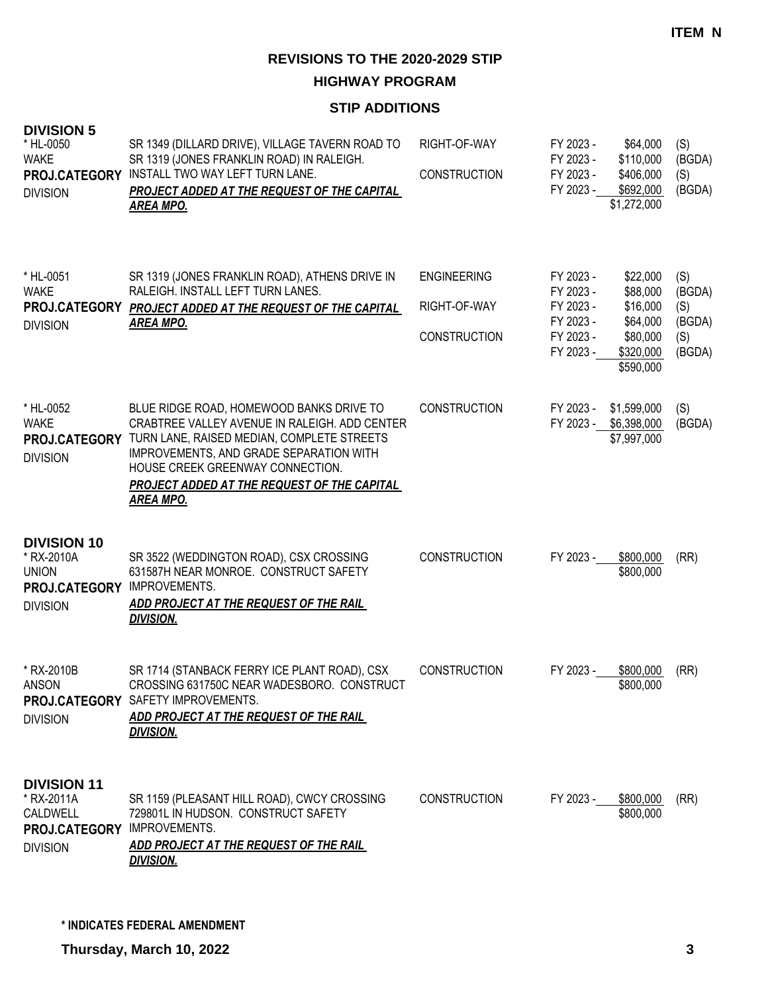**HIGHWAY PROGRAM**

#### **STIP ADDITIONS**

| <b>DIVISION 5</b><br>* HL-0050<br><b>WAKE</b><br>PROJ.CATEGORY<br><b>DIVISION</b>    | SR 1349 (DILLARD DRIVE), VILLAGE TAVERN ROAD TO<br>SR 1319 (JONES FRANKLIN ROAD) IN RALEIGH.<br>INSTALL TWO WAY LEFT TURN LANE.<br><b>PROJECT ADDED AT THE REQUEST OF THE CAPITAL</b><br><u>AREA MPO.</u>                                                                                        | RIGHT-OF-WAY<br><b>CONSTRUCTION</b>                       | FY 2023 -<br>FY 2023 -<br>FY 2023 -<br>FY 2023 -                           | \$64,000<br>\$110,000<br>\$406,000<br>\$692,000<br>\$1,272,000                     | (S)<br>(BGDA)<br>(S)<br>(BGDA)                  |
|--------------------------------------------------------------------------------------|--------------------------------------------------------------------------------------------------------------------------------------------------------------------------------------------------------------------------------------------------------------------------------------------------|-----------------------------------------------------------|----------------------------------------------------------------------------|------------------------------------------------------------------------------------|-------------------------------------------------|
| * HL-0051<br><b>WAKE</b><br><b>DIVISION</b>                                          | SR 1319 (JONES FRANKLIN ROAD), ATHENS DRIVE IN<br>RALEIGH. INSTALL LEFT TURN LANES.<br>PROJ.CATEGORY PROJECT ADDED AT THE REQUEST OF THE CAPITAL<br><u>AREA MPO.</u>                                                                                                                             | <b>ENGINEERING</b><br>RIGHT-OF-WAY<br><b>CONSTRUCTION</b> | FY 2023 -<br>FY 2023 -<br>FY 2023 -<br>FY 2023 -<br>FY 2023 -<br>FY 2023 - | \$22,000<br>\$88,000<br>\$16,000<br>\$64,000<br>\$80,000<br>\$320,000<br>\$590,000 | (S)<br>(BGDA)<br>(S)<br>(BGDA)<br>(S)<br>(BGDA) |
| * HL-0052<br><b>WAKE</b><br>PROJ.CATEGORY<br><b>DIVISION</b>                         | BLUE RIDGE ROAD, HOMEWOOD BANKS DRIVE TO<br>CRABTREE VALLEY AVENUE IN RALEIGH, ADD CENTER<br>TURN LANE, RAISED MEDIAN, COMPLETE STREETS<br><b>IMPROVEMENTS, AND GRADE SEPARATION WITH</b><br>HOUSE CREEK GREENWAY CONNECTION.<br>PROJECT ADDED AT THE REQUEST OF THE CAPITAL<br><u>AREA MPO.</u> | <b>CONSTRUCTION</b>                                       | FY 2023 -<br>FY 2023 -                                                     | \$1,599,000<br>\$6,398,000<br>\$7,997,000                                          | (S)<br>(BGDA)                                   |
| <b>DIVISION 10</b><br>* RX-2010A<br><b>UNION</b><br>PROJ.CATEGORY<br><b>DIVISION</b> | SR 3522 (WEDDINGTON ROAD), CSX CROSSING<br>631587H NEAR MONROE. CONSTRUCT SAFETY<br>IMPROVEMENTS.<br>ADD PROJECT AT THE REQUEST OF THE RAIL<br><b>DIVISION.</b>                                                                                                                                  | <b>CONSTRUCTION</b>                                       | FY 2023 -                                                                  | \$800,000<br>\$800,000                                                             | (RR)                                            |
| * RX-2010B<br>ANSON<br><b>DIVISION</b>                                               | SR 1714 (STANBACK FERRY ICE PLANT ROAD), CSX<br>CROSSING 631750C NEAR WADESBORO. CONSTRUCT<br>PROJ.CATEGORY SAFETY IMPROVEMENTS.<br>ADD PROJECT AT THE REQUEST OF THE RAIL<br><b>DIVISION.</b>                                                                                                   | <b>CONSTRUCTION</b>                                       | FY 2023 -                                                                  | \$800,000<br>\$800,000                                                             | (RR)                                            |
| <b>DIVISION 11</b><br>* RX-2011A<br>CALDWELL<br>PROJ.CATEGORY<br><b>DIVISION</b>     | SR 1159 (PLEASANT HILL ROAD), CWCY CROSSING<br>729801L IN HUDSON. CONSTRUCT SAFETY<br><b>IMPROVEMENTS.</b><br>ADD PROJECT AT THE REQUEST OF THE RAIL<br>DIVISION.                                                                                                                                | <b>CONSTRUCTION</b>                                       | FY 2023 -                                                                  | \$800,000<br>\$800,000                                                             | (RR)                                            |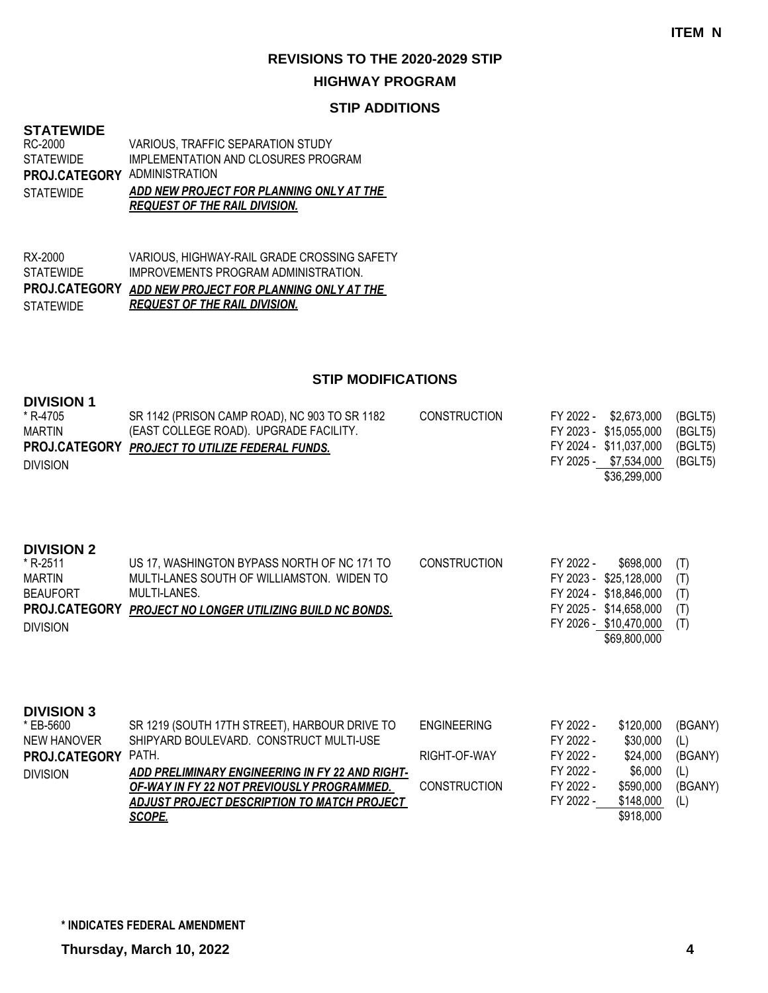#### **HIGHWAY PROGRAM**

#### **STIP ADDITIONS**

#### **STATEWIDE STATEWIDE**

|                                     | <b>REQUEST OF THE RAIL DIVISION.</b>     |
|-------------------------------------|------------------------------------------|
| <b>STATEWIDE</b>                    | ADD NEW PROJECT FOR PLANNING ONLY AT THE |
| <b>PROJ.CATEGORY ADMINISTRATION</b> |                                          |
| STATEWIDE                           | IMPLEMENTATION AND CLOSURES PROGRAM      |
| RC-2000                             | <b>VARIOUS, TRAFFIC SEPARATION STUDY</b> |

| RX-2000   | VARIOUS. HIGHWAY-RAIL GRADE CROSSING SAFETY            |
|-----------|--------------------------------------------------------|
| STATEWIDE | IMPROVEMENTS PROGRAM ADMINISTRATION.                   |
|           | PROJ.CATEGORY ADD NEW PROJECT FOR PLANNING ONLY AT THE |
| STATEWIDE | <b>REQUEST OF THE RAIL DIVISION.</b>                   |

| <b>DIVISION 1</b><br>* R-4705<br><b>MARTIN</b><br>PROJ.CATEGORY<br><b>DIVISION</b>                    | SR 1142 (PRISON CAMP ROAD), NC 903 TO SR 1182<br>(EAST COLLEGE ROAD). UPGRADE FACILITY.<br>PROJECT TO UTILIZE FEDERAL FUNDS.                                                                                                                                | <b>CONSTRUCTION</b>                                       | FY 2022 -                                                                  | \$2,673,000<br>FY 2023 - \$15,055,000<br>FY 2024 - \$11,037,000<br>FY 2025 - \$7,534,000<br>\$36,299,000                          | (BGLT5)<br>(BGLT5)<br>(BGLT5)<br>(BGLT5)           |
|-------------------------------------------------------------------------------------------------------|-------------------------------------------------------------------------------------------------------------------------------------------------------------------------------------------------------------------------------------------------------------|-----------------------------------------------------------|----------------------------------------------------------------------------|-----------------------------------------------------------------------------------------------------------------------------------|----------------------------------------------------|
| <b>DIVISION 2</b><br>* R-2511<br><b>MARTIN</b><br><b>BEAUFORT</b><br>PROJ.CATEGORY<br><b>DIVISION</b> | US 17, WASHINGTON BYPASS NORTH OF NC 171 TO<br>MULTI-LANES SOUTH OF WILLIAMSTON. WIDEN TO<br>MULTI-LANES.<br><b>PROJECT NO LONGER UTILIZING BUILD NC BONDS.</b>                                                                                             | <b>CONSTRUCTION</b>                                       | FY 2022 -                                                                  | \$698,000<br>FY 2023 - \$25,128,000<br>FY 2024 - \$18,846,000<br>FY 2025 - \$14,658,000<br>FY 2026 - \$10,470,000<br>\$69,800,000 | (T)<br>(T)<br>(T)<br>(T)<br>(T)                    |
| <b>DIVISION 3</b><br>* EB-5600<br><b>NEW HANOVER</b><br>PROJ.CATEGORY<br><b>DIVISION</b>              | SR 1219 (SOUTH 17TH STREET), HARBOUR DRIVE TO<br>SHIPYARD BOULEVARD. CONSTRUCT MULTI-USE<br>PATH.<br>ADD PRELIMINARY ENGINEERING IN FY 22 AND RIGHT-<br>OF-WAY IN FY 22 NOT PREVIOUSLY PROGRAMMED.<br>ADJUST PROJECT DESCRIPTION TO MATCH PROJECT<br>SCOPE. | <b>ENGINEERING</b><br>RIGHT-OF-WAY<br><b>CONSTRUCTION</b> | FY 2022 -<br>FY 2022 -<br>FY 2022 -<br>FY 2022 -<br>FY 2022 -<br>FY 2022 - | \$120,000<br>\$30,000<br>\$24,000<br>\$6,000<br>\$590,000<br>\$148,000<br>\$918,000                                               | (BGANY)<br>(L)<br>(BGANY)<br>(L)<br>(BGANY)<br>(L) |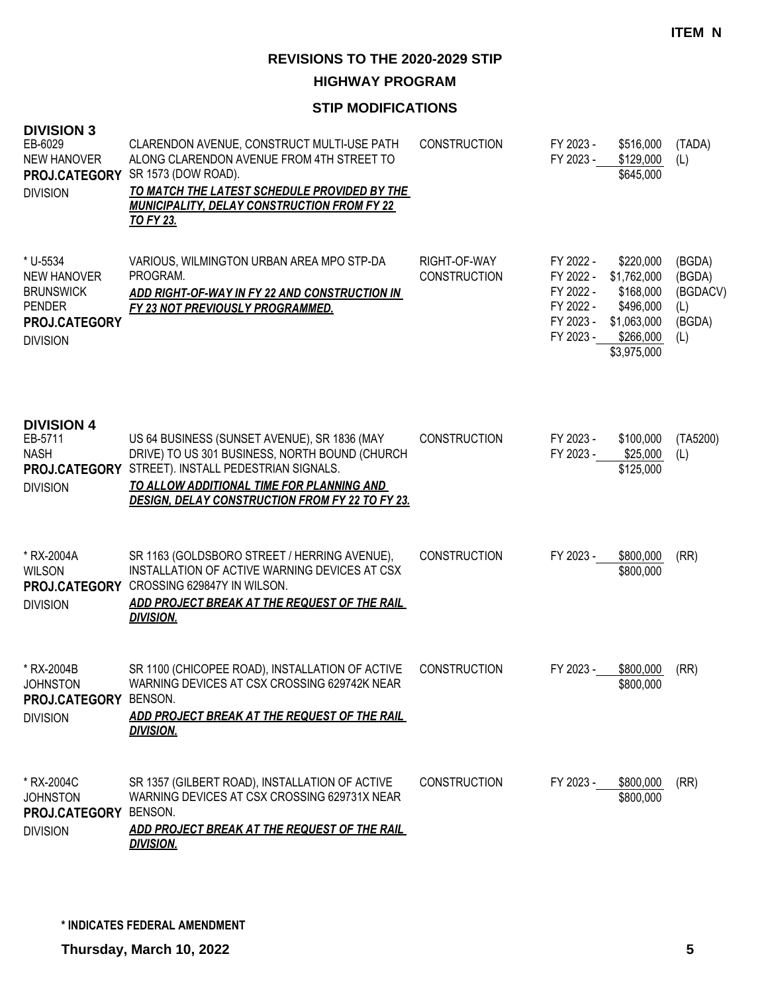**HIGHWAY PROGRAM**

| <b>DIVISION 3</b><br>EB-6029<br><b>NEW HANOVER</b><br><b>PROJ.CATEGORY</b><br><b>DIVISION</b>           | CLARENDON AVENUE, CONSTRUCT MULTI-USE PATH<br>ALONG CLARENDON AVENUE FROM 4TH STREET TO<br>SR 1573 (DOW ROAD).<br>TO MATCH THE LATEST SCHEDULE PROVIDED BY THE<br><b>MUNICIPALITY, DELAY CONSTRUCTION FROM FY 22</b><br><u>TO FY 23.</u>                    | <b>CONSTRUCTION</b>                 | FY 2023 -<br>FY 2023 -                                                     | \$516,000<br>\$129,000<br>\$645,000                                                           | (TADA)<br>(L)                                        |
|---------------------------------------------------------------------------------------------------------|-------------------------------------------------------------------------------------------------------------------------------------------------------------------------------------------------------------------------------------------------------------|-------------------------------------|----------------------------------------------------------------------------|-----------------------------------------------------------------------------------------------|------------------------------------------------------|
| * U-5534<br><b>NEW HANOVER</b><br><b>BRUNSWICK</b><br><b>PENDER</b><br>PROJ.CATEGORY<br><b>DIVISION</b> | VARIOUS, WILMINGTON URBAN AREA MPO STP-DA<br>PROGRAM.<br>ADD RIGHT-OF-WAY IN FY 22 AND CONSTRUCTION IN<br>FY 23 NOT PREVIOUSLY PROGRAMMED.                                                                                                                  | RIGHT-OF-WAY<br><b>CONSTRUCTION</b> | FY 2022 -<br>FY 2022 -<br>FY 2022 -<br>FY 2022 -<br>FY 2023 -<br>FY 2023 - | \$220,000<br>\$1,762,000<br>\$168,000<br>\$496,000<br>\$1,063,000<br>\$266,000<br>\$3,975,000 | (BGDA)<br>(BGDA)<br>(BGDACV)<br>(L)<br>(BGDA)<br>(L) |
| <b>DIVISION 4</b><br>EB-5711<br><b>NASH</b><br><b>DIVISION</b>                                          | US 64 BUSINESS (SUNSET AVENUE), SR 1836 (MAY<br>DRIVE) TO US 301 BUSINESS, NORTH BOUND (CHURCH<br>PROJ.CATEGORY STREET). INSTALL PEDESTRIAN SIGNALS.<br>TO ALLOW ADDITIONAL TIME FOR PLANNING AND<br><b>DESIGN, DELAY CONSTRUCTION FROM FY 22 TO FY 23.</b> | <b>CONSTRUCTION</b>                 | FY 2023 -<br>FY 2023 -                                                     | \$100,000<br>\$25,000<br>\$125,000                                                            | (TA5200)<br>(L)                                      |
| * RX-2004A<br><b>WILSON</b><br>PROJ.CATEGORY<br><b>DIVISION</b>                                         | SR 1163 (GOLDSBORO STREET / HERRING AVENUE),<br>INSTALLATION OF ACTIVE WARNING DEVICES AT CSX<br>CROSSING 629847Y IN WILSON.<br>ADD PROJECT BREAK AT THE REQUEST OF THE RAIL<br><b>DIVISION.</b>                                                            | <b>CONSTRUCTION</b>                 | FY 2023 -                                                                  | \$800,000<br>\$800,000                                                                        | (RR)                                                 |
| * RX-2004B<br><b>JOHNSTON</b><br>PROJ.CATEGORY BENSON.<br><b>DIVISION</b>                               | SR 1100 (CHICOPEE ROAD), INSTALLATION OF ACTIVE<br>WARNING DEVICES AT CSX CROSSING 629742K NEAR<br>ADD PROJECT BREAK AT THE REQUEST OF THE RAIL<br><b>DIVISION.</b>                                                                                         | <b>CONSTRUCTION</b>                 | FY 2023 -                                                                  | \$800,000<br>\$800,000                                                                        | (RR)                                                 |
| * RX-2004C<br><b>JOHNSTON</b><br>PROJ.CATEGORY<br><b>DIVISION</b>                                       | SR 1357 (GILBERT ROAD), INSTALLATION OF ACTIVE<br>WARNING DEVICES AT CSX CROSSING 629731X NEAR<br><b>BENSON.</b><br>ADD PROJECT BREAK AT THE REQUEST OF THE RAIL<br><b>DIVISION.</b>                                                                        | <b>CONSTRUCTION</b>                 | FY 2023 -                                                                  | \$800,000<br>\$800,000                                                                        | (RR)                                                 |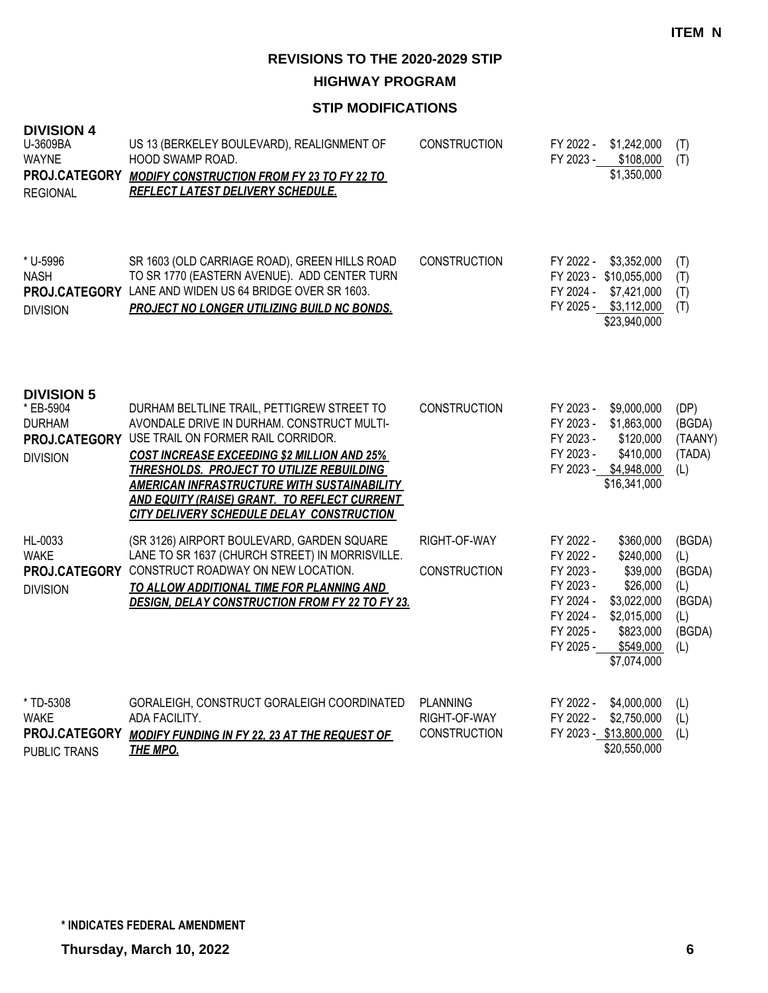**HIGHWAY PROGRAM**

| <b>DIVISION 4</b><br>U-3609BA<br><b>WAYNE</b><br><b>REGIONAL</b>                    | US 13 (BERKELEY BOULEVARD), REALIGNMENT OF<br>HOOD SWAMP ROAD.<br>PROJ.CATEGORY MODIFY CONSTRUCTION FROM FY 23 TO FY 22 TO<br>REFLECT LATEST DELIVERY SCHEDULE.                                                                                                                                                                                                                      | <b>CONSTRUCTION</b>                                    | FY 2022 -<br>FY 2023 -                                                                               | \$1,242,000<br>\$108,000<br>\$1,350,000                                                                               | (T)<br>(T)                                                       |
|-------------------------------------------------------------------------------------|--------------------------------------------------------------------------------------------------------------------------------------------------------------------------------------------------------------------------------------------------------------------------------------------------------------------------------------------------------------------------------------|--------------------------------------------------------|------------------------------------------------------------------------------------------------------|-----------------------------------------------------------------------------------------------------------------------|------------------------------------------------------------------|
| * U-5996<br><b>NASH</b><br><b>DIVISION</b>                                          | SR 1603 (OLD CARRIAGE ROAD), GREEN HILLS ROAD<br>TO SR 1770 (EASTERN AVENUE). ADD CENTER TURN<br>PROJ.CATEGORY LANE AND WIDEN US 64 BRIDGE OVER SR 1603.<br>PROJECT NO LONGER UTILIZING BUILD NC BONDS.                                                                                                                                                                              | <b>CONSTRUCTION</b>                                    | FY 2022 -<br>FY 2024 -                                                                               | \$3,352,000<br>FY 2023 - \$10,055,000<br>\$7,421,000<br>FY 2025 - \$3,112,000<br>\$23,940,000                         | (T)<br>(T)<br>(T)<br>(T)                                         |
| <b>DIVISION 5</b><br>* EB-5904<br><b>DURHAM</b><br>PROJ.CATEGORY<br><b>DIVISION</b> | DURHAM BELTLINE TRAIL, PETTIGREW STREET TO<br>AVONDALE DRIVE IN DURHAM. CONSTRUCT MULTI-<br>USE TRAIL ON FORMER RAIL CORRIDOR.<br><b>COST INCREASE EXCEEDING \$2 MILLION AND 25%</b><br>THRESHOLDS. PROJECT TO UTILIZE REBUILDING<br><b>AMERICAN INFRASTRUCTURE WITH SUSTAINABILITY</b><br>AND EQUITY (RAISE) GRANT. TO REFLECT CURRENT<br>CITY DELIVERY SCHEDULE DELAY CONSTRUCTION | <b>CONSTRUCTION</b>                                    | FY 2023 -<br>FY 2023 -<br>FY 2023 -<br>FY 2023 -<br>FY 2023 -                                        | \$9,000,000<br>\$1,863,000<br>\$120,000<br>\$410,000<br>\$4,948,000<br>\$16,341,000                                   | (DP)<br>(BGDA)<br>(TAANY)<br>(TADA)<br>(L)                       |
| HL-0033<br><b>WAKE</b><br><b>DIVISION</b>                                           | (SR 3126) AIRPORT BOULEVARD, GARDEN SQUARE<br>LANE TO SR 1637 (CHURCH STREET) IN MORRISVILLE.<br>PROJ.CATEGORY CONSTRUCT ROADWAY ON NEW LOCATION.<br>TO ALLOW ADDITIONAL TIME FOR PLANNING AND<br><b>DESIGN, DELAY CONSTRUCTION FROM FY 22 TO FY 23.</b>                                                                                                                             | RIGHT-OF-WAY<br><b>CONSTRUCTION</b>                    | FY 2022 -<br>FY 2022 -<br>FY 2023 -<br>FY 2023 -<br>FY 2024 -<br>FY 2024 -<br>FY 2025 -<br>FY 2025 - | \$360,000<br>\$240,000<br>\$39,000<br>\$26,000<br>\$3,022,000<br>\$2,015,000<br>\$823,000<br>\$549,000<br>\$7,074,000 | (BGDA)<br>(L)<br>(BGDA)<br>(L)<br>(BGDA)<br>(L)<br>(BGDA)<br>(L) |
| * TD-5308<br><b>WAKE</b><br>PROJ.CATEGORY<br><b>PUBLIC TRANS</b>                    | GORALEIGH, CONSTRUCT GORALEIGH COORDINATED<br>ADA FACILITY.<br><b>MODIFY FUNDING IN FY 22, 23 AT THE REQUEST OF</b><br><b>THE MPO.</b>                                                                                                                                                                                                                                               | <b>PLANNING</b><br>RIGHT-OF-WAY<br><b>CONSTRUCTION</b> | FY 2022 -<br>FY 2022 -                                                                               | \$4,000,000<br>\$2,750,000<br>FY 2023 - \$13,800,000<br>\$20,550,000                                                  | (L)<br>(L)<br>(L)                                                |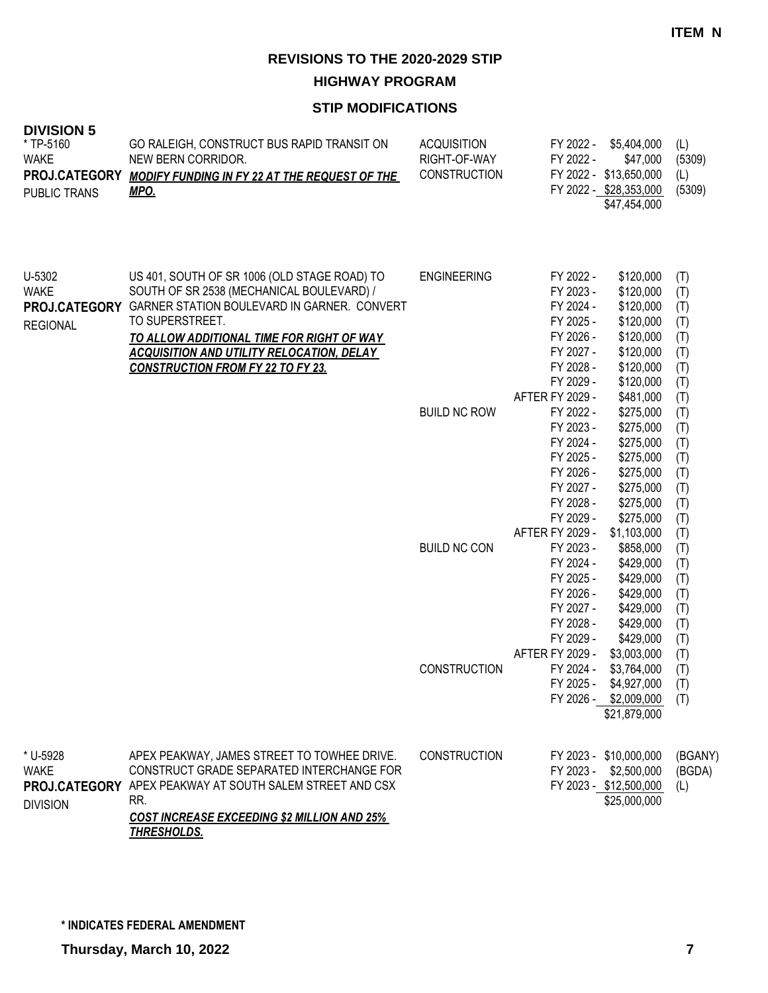**HIGHWAY PROGRAM**

| <b>DIVISION 5</b><br>* TP-5160<br><b>WAKE</b><br>PROJ.CATEGORY<br>PUBLIC TRANS | GO RALEIGH, CONSTRUCT BUS RAPID TRANSIT ON<br>NEW BERN CORRIDOR.<br><b>MODIFY FUNDING IN FY 22 AT THE REQUEST OF THE</b><br><u>MPO.</u>                                                                                                                                                                                       | <b>ACQUISITION</b><br>RIGHT-OF-WAY<br><b>CONSTRUCTION</b> | FY 2022 -<br>FY 2022 -                                                                                                         | \$5,404,000<br>\$47,000<br>FY 2022 - \$13,650,000<br>FY 2022 - \$28,353,000<br>\$47,454,000                           | (L)<br>(5309)<br>(L)<br>(5309)                              |
|--------------------------------------------------------------------------------|-------------------------------------------------------------------------------------------------------------------------------------------------------------------------------------------------------------------------------------------------------------------------------------------------------------------------------|-----------------------------------------------------------|--------------------------------------------------------------------------------------------------------------------------------|-----------------------------------------------------------------------------------------------------------------------|-------------------------------------------------------------|
| $U-5302$<br><b>WAKE</b><br><b>REGIONAL</b>                                     | US 401, SOUTH OF SR 1006 (OLD STAGE ROAD) TO<br>SOUTH OF SR 2538 (MECHANICAL BOULEVARD) /<br>PROJ.CATEGORY GARNER STATION BOULEVARD IN GARNER. CONVERT<br>TO SUPERSTREET.<br><u>TO ALLOW ADDITIONAL TIME FOR RIGHT OF WAY</u><br><b>ACQUISITION AND UTILITY RELOCATION, DELAY</b><br><b>CONSTRUCTION FROM FY 22 TO FY 23.</b> | <b>ENGINEERING</b>                                        | FY 2022 -<br>FY 2023 -<br>FY 2024 -<br>FY 2025 -<br>FY 2026 -<br>FY 2027 -<br>FY 2028 -<br>FY 2029 -<br><b>AFTER FY 2029 -</b> | \$120,000<br>\$120,000<br>\$120,000<br>\$120,000<br>\$120,000<br>\$120,000<br>\$120,000<br>\$120,000<br>\$481,000     | (T)<br>(T)<br>(T)<br>(T)<br>(T)<br>(T)<br>(T)<br>(T)<br>(T) |
|                                                                                |                                                                                                                                                                                                                                                                                                                               | <b>BUILD NC ROW</b>                                       | FY 2022 -<br>FY 2023 -<br>FY 2024 -<br>FY 2025 -<br>FY 2026 -<br>FY 2027 -<br>FY 2028 -<br>FY 2029 -                           | \$275,000<br>\$275,000<br>\$275,000<br>\$275,000<br>\$275,000<br>\$275,000<br>\$275,000<br>\$275,000                  | (T)<br>(T)<br>(T)<br>(T)<br>(T)<br>(T)<br>(T)<br>(T)        |
|                                                                                |                                                                                                                                                                                                                                                                                                                               | <b>BUILD NC CON</b>                                       | AFTER FY 2029 -<br>FY 2023 -<br>FY 2024 -<br>FY 2025 -<br>FY 2026 -<br>FY 2027 -<br>FY 2028 -<br>FY 2029 -<br>AFTER FY 2029 -  | \$1,103,000<br>\$858,000<br>\$429,000<br>\$429,000<br>\$429,000<br>\$429,000<br>\$429,000<br>\$429,000<br>\$3,003,000 | (T)<br>(T)<br>(T)<br>(T)<br>(T)<br>(T)<br>(T)<br>(T)<br>(T) |
|                                                                                |                                                                                                                                                                                                                                                                                                                               | <b>CONSTRUCTION</b>                                       | FY 2024 -                                                                                                                      | \$3,764,000<br>FY 2025 - \$4,927,000<br>FY 2026 - \$2,009,000<br>\$21,879,000                                         | (T)<br>(T)<br>(T)                                           |
| * U-5928<br><b>WAKE</b><br><b>DIVISION</b>                                     | APEX PEAKWAY, JAMES STREET TO TOWHEE DRIVE.<br>CONSTRUCT GRADE SEPARATED INTERCHANGE FOR<br>PROJ.CATEGORY APEX PEAKWAY AT SOUTH SALEM STREET AND CSX<br>RR.<br><b>COST INCREASE EXCEEDING \$2 MILLION AND 25%</b><br><u>THRESHOLDS.</u>                                                                                       | <b>CONSTRUCTION</b>                                       |                                                                                                                                | FY 2023 - \$10,000,000<br>FY 2023 - \$2,500,000<br>FY 2023 - \$12,500,000<br>\$25,000,000                             | (BGANY)<br>(BGDA)<br>(L)                                    |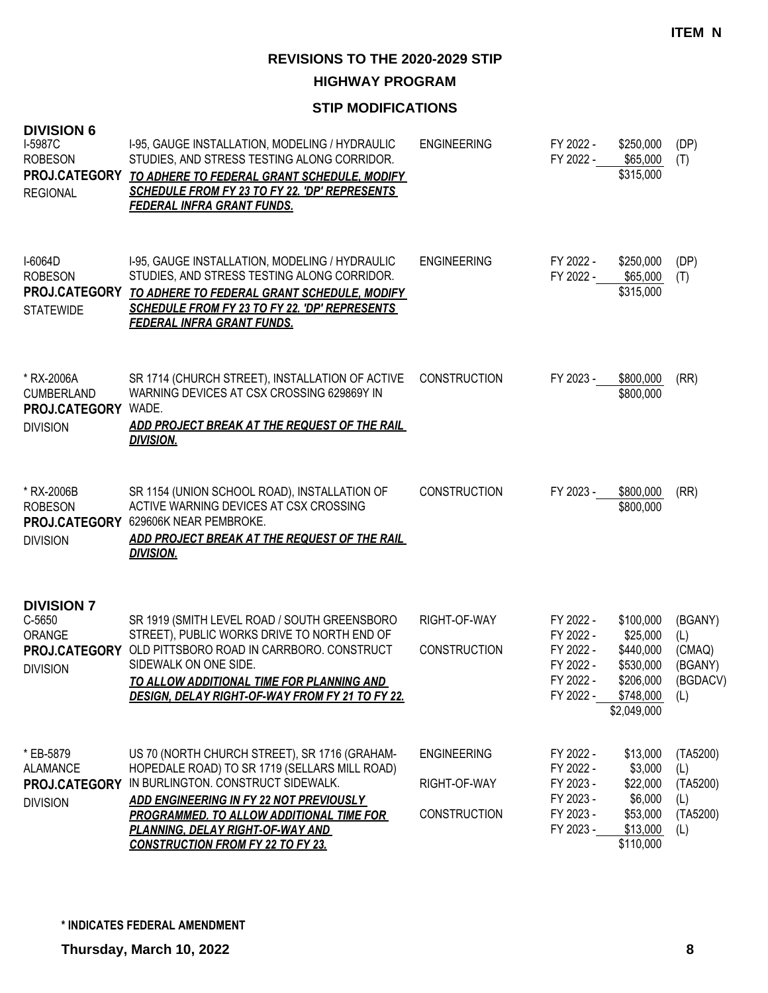**HIGHWAY PROGRAM**

| <b>DIVISION 6</b><br>I-5987C<br><b>ROBESON</b><br>PROJ.CATEGORY<br><b>REGIONAL</b> | 1-95, GAUGE INSTALLATION, MODELING / HYDRAULIC<br>STUDIES, AND STRESS TESTING ALONG CORRIDOR.<br>TO ADHERE TO FEDERAL GRANT SCHEDULE, MODIFY<br>SCHEDULE FROM FY 23 TO FY 22. 'DP' REPRESENTS<br><b>FEDERAL INFRA GRANT FUNDS.</b>                                                                                        | <b>ENGINEERING</b>                                        | FY 2022 -<br>FY 2022 -                                                     | \$250,000<br>\$65,000<br>\$315,000                                                            | (DP)<br>(T)                                           |
|------------------------------------------------------------------------------------|---------------------------------------------------------------------------------------------------------------------------------------------------------------------------------------------------------------------------------------------------------------------------------------------------------------------------|-----------------------------------------------------------|----------------------------------------------------------------------------|-----------------------------------------------------------------------------------------------|-------------------------------------------------------|
| I-6064D<br><b>ROBESON</b><br>PROJ.CATEGORY<br><b>STATEWIDE</b>                     | I-95, GAUGE INSTALLATION, MODELING / HYDRAULIC<br>STUDIES, AND STRESS TESTING ALONG CORRIDOR.<br>TO ADHERE TO FEDERAL GRANT SCHEDULE, MODIFY<br>SCHEDULE FROM FY 23 TO FY 22. 'DP' REPRESENTS<br><b>FEDERAL INFRA GRANT FUNDS.</b>                                                                                        | <b>ENGINEERING</b>                                        | FY 2022 -<br>FY 2022 -                                                     | \$250,000<br>\$65,000<br>\$315,000                                                            | (DP)<br>(T)                                           |
| * RX-2006A<br><b>CUMBERLAND</b><br>PROJ.CATEGORY<br><b>DIVISION</b>                | SR 1714 (CHURCH STREET), INSTALLATION OF ACTIVE<br>WARNING DEVICES AT CSX CROSSING 629869Y IN<br>WADE.<br>ADD PROJECT BREAK AT THE REQUEST OF THE RAIL<br><b>DIVISION.</b>                                                                                                                                                | <b>CONSTRUCTION</b>                                       | FY 2023 -                                                                  | \$800,000<br>\$800,000                                                                        | (RR)                                                  |
| * RX-2006B<br><b>ROBESON</b><br>PROJ.CATEGORY<br><b>DIVISION</b>                   | SR 1154 (UNION SCHOOL ROAD), INSTALLATION OF<br>ACTIVE WARNING DEVICES AT CSX CROSSING<br>629606K NEAR PEMBROKE.<br>ADD PROJECT BREAK AT THE REQUEST OF THE RAIL<br><b>DIVISION.</b>                                                                                                                                      | <b>CONSTRUCTION</b>                                       | FY 2023 -                                                                  | \$800,000<br>\$800,000                                                                        | (RR)                                                  |
| <b>DIVISION 7</b><br>C-5650<br><b>ORANGE</b><br><b>DIVISION</b>                    | SR 1919 (SMITH LEVEL ROAD / SOUTH GREENSBORO<br>STREET), PUBLIC WORKS DRIVE TO NORTH END OF<br>PROJ.CATEGORY OLD PITTSBORO ROAD IN CARRBORO. CONSTRUCT<br>SIDEWALK ON ONE SIDE.<br><u>TO ALLOW ADDITIONAL TIME FOR PLANNING AND</u><br>DESIGN, DELAY RIGHT-OF-WAY FROM FY 21 TO FY 22.                                    | RIGHT-OF-WAY<br><b>CONSTRUCTION</b>                       | FY 2022 -<br>FY 2022 -<br>FY 2022 -<br>FY 2022 -<br>FY 2022 -<br>FY 2022 - | \$100,000<br>\$25,000<br>\$440,000<br>\$530,000<br>\$206,000<br>$$748,000$ (L)<br>\$2,049,000 | (BGANY)<br>(L)<br>(CMAQ)<br>(BGANY)<br>(BGDACV)       |
| * EB-5879<br><b>ALAMANCE</b><br>PROJ.CATEGORY<br><b>DIVISION</b>                   | US 70 (NORTH CHURCH STREET), SR 1716 (GRAHAM-<br>HOPEDALE ROAD) TO SR 1719 (SELLARS MILL ROAD)<br>IN BURLINGTON. CONSTRUCT SIDEWALK.<br><b>ADD ENGINEERING IN FY 22 NOT PREVIOUSLY</b><br><b>PROGRAMMED. TO ALLOW ADDITIONAL TIME FOR</b><br>PLANNING, DELAY RIGHT-OF-WAY AND<br><b>CONSTRUCTION FROM FY 22 TO FY 23.</b> | <b>ENGINEERING</b><br>RIGHT-OF-WAY<br><b>CONSTRUCTION</b> | FY 2022 -<br>FY 2022 -<br>FY 2023 -<br>FY 2023 -<br>FY 2023 -<br>FY 2023 - | \$13,000<br>\$3,000<br>\$22,000<br>\$6,000<br>\$53,000<br>\$13,000<br>\$110,000               | (TA5200)<br>(L)<br>(TA5200)<br>(L)<br>(TA5200)<br>(L) |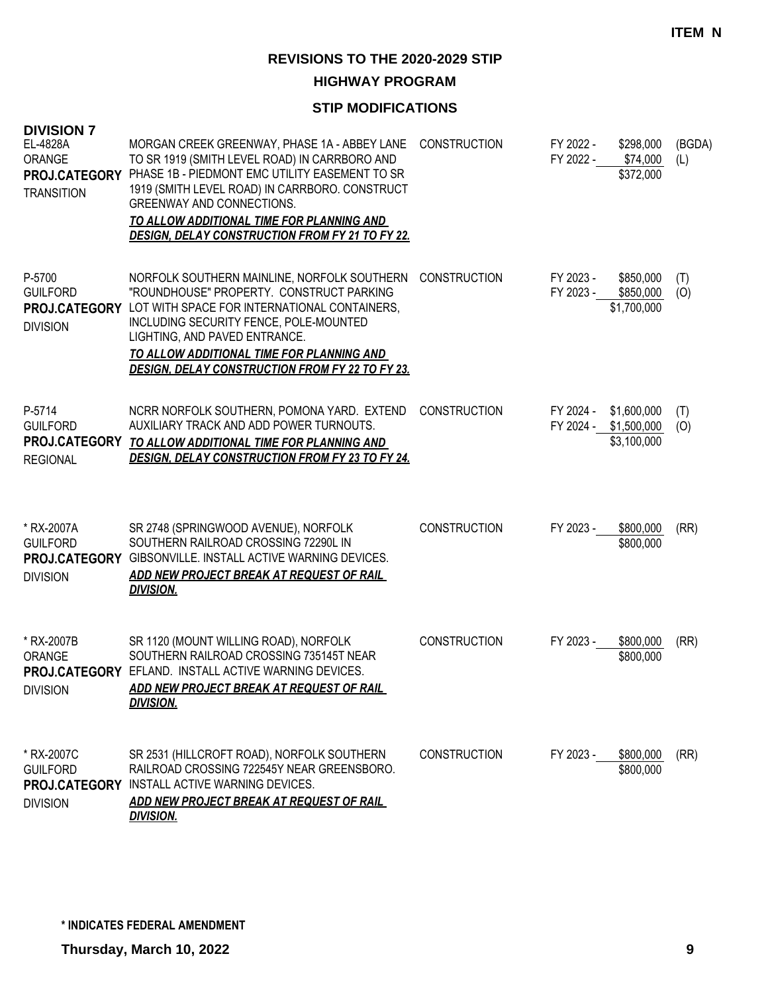**HIGHWAY PROGRAM**

| <b>DIVISION 7</b><br>EL-4828A                                     | MORGAN CREEK GREENWAY, PHASE 1A - ABBEY LANE                                                                                                                                                                                                                                                                              | <b>CONSTRUCTION</b> | FY 2022 -              | \$298,000                                           | (BGDA)     |
|-------------------------------------------------------------------|---------------------------------------------------------------------------------------------------------------------------------------------------------------------------------------------------------------------------------------------------------------------------------------------------------------------------|---------------------|------------------------|-----------------------------------------------------|------------|
| ORANGE<br>PROJ.CATEGORY<br><b>TRANSITION</b>                      | TO SR 1919 (SMITH LEVEL ROAD) IN CARRBORO AND<br>PHASE 1B - PIEDMONT EMC UTILITY EASEMENT TO SR<br>1919 (SMITH LEVEL ROAD) IN CARRBORO. CONSTRUCT<br><b>GREENWAY AND CONNECTIONS.</b><br>TO ALLOW ADDITIONAL TIME FOR PLANNING AND<br><b>DESIGN, DELAY CONSTRUCTION FROM FY 21 TO FY 22.</b>                              |                     |                        | FY 2022 - \$74,000<br>\$372,000                     | (L)        |
| P-5700<br><b>GUILFORD</b><br>PROJ.CATEGORY<br><b>DIVISION</b>     | NORFOLK SOUTHERN MAINLINE, NORFOLK SOUTHERN<br>"ROUNDHOUSE" PROPERTY. CONSTRUCT PARKING<br>LOT WITH SPACE FOR INTERNATIONAL CONTAINERS,<br>INCLUDING SECURITY FENCE, POLE-MOUNTED<br>LIGHTING, AND PAVED ENTRANCE.<br>TO ALLOW ADDITIONAL TIME FOR PLANNING AND<br><b>DESIGN, DELAY CONSTRUCTION FROM FY 22 TO FY 23.</b> | <b>CONSTRUCTION</b> | FY 2023 -<br>FY 2023 - | \$850,000<br>\$850,000<br>\$1,700,000               | (T)<br>(0) |
| P-5714<br><b>GUILFORD</b><br>PROJ.CATEGORY<br><b>REGIONAL</b>     | NCRR NORFOLK SOUTHERN, POMONA YARD. EXTEND<br>AUXILIARY TRACK AND ADD POWER TURNOUTS.<br>TO ALLOW ADDITIONAL TIME FOR PLANNING AND<br><b>DESIGN, DELAY CONSTRUCTION FROM FY 23 TO FY 24.</b>                                                                                                                              | <b>CONSTRUCTION</b> | FY 2024 -              | \$1,600,000<br>FY 2024 - \$1,500,000<br>\$3,100,000 | (T)<br>(O) |
| * RX-2007A<br><b>GUILFORD</b><br><b>DIVISION</b>                  | SR 2748 (SPRINGWOOD AVENUE), NORFOLK<br>SOUTHERN RAILROAD CROSSING 72290L IN<br>PROJ.CATEGORY GIBSONVILLE. INSTALL ACTIVE WARNING DEVICES.<br>ADD NEW PROJECT BREAK AT REQUEST OF RAIL<br><b>DIVISION.</b>                                                                                                                | <b>CONSTRUCTION</b> | FY 2023 -              | \$800,000<br>\$800,000                              | (RR)       |
| * RX-2007B<br>ORANGE<br><b>DIVISION</b>                           | SR 1120 (MOUNT WILLING ROAD), NORFOLK<br>SOUTHERN RAILROAD CROSSING 735145T NEAR<br>PROJ.CATEGORY EFLAND. INSTALL ACTIVE WARNING DEVICES.<br>ADD NEW PROJECT BREAK AT REQUEST OF RAIL<br><b>DIVISION.</b>                                                                                                                 | <b>CONSTRUCTION</b> | FY 2023 -              | \$800,000<br>\$800,000                              | (RR)       |
| * RX-2007C<br><b>GUILFORD</b><br>PROJ.CATEGORY<br><b>DIVISION</b> | SR 2531 (HILLCROFT ROAD), NORFOLK SOUTHERN<br>RAILROAD CROSSING 722545Y NEAR GREENSBORO.<br>INSTALL ACTIVE WARNING DEVICES.<br>ADD NEW PROJECT BREAK AT REQUEST OF RAIL<br><b>DIVISION.</b>                                                                                                                               | <b>CONSTRUCTION</b> | FY 2023 -              | \$800,000<br>\$800,000                              | (RR)       |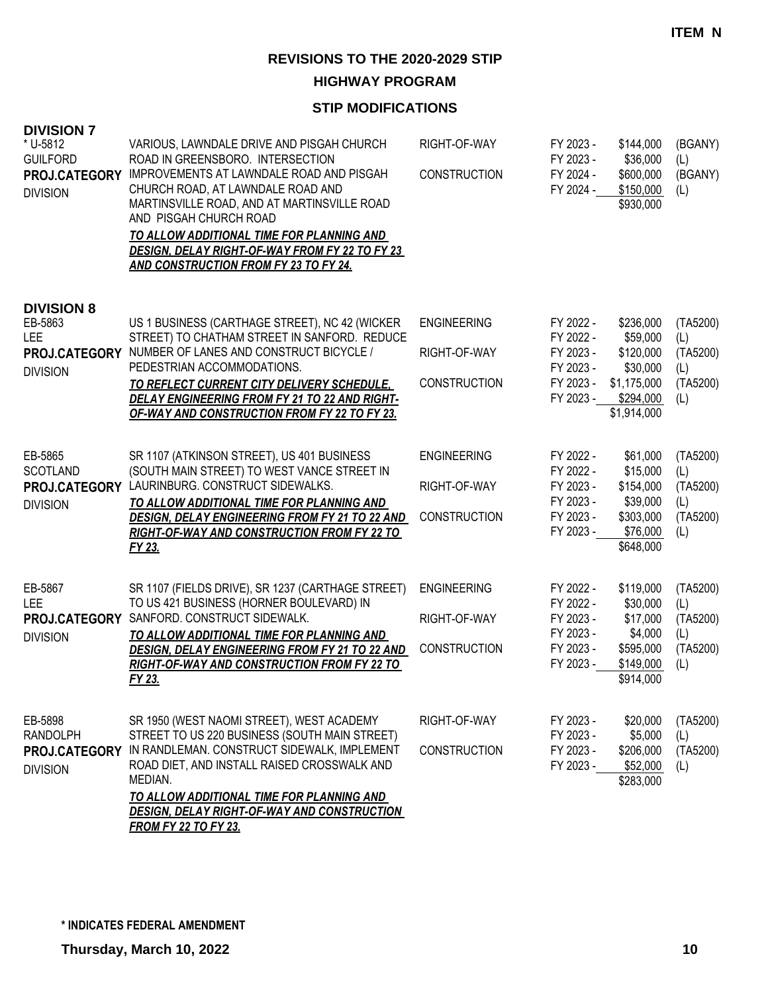**HIGHWAY PROGRAM**

#### **STIP MODIFICATIONS**

| <b>DIVISION 7</b><br>* U-5812<br><b>GUILFORD</b><br>PROJ.CATEGORY<br><b>DIVISION</b> | VARIOUS, LAWNDALE DRIVE AND PISGAH CHURCH<br>ROAD IN GREENSBORO. INTERSECTION<br>IMPROVEMENTS AT LAWNDALE ROAD AND PISGAH<br>CHURCH ROAD, AT LAWNDALE ROAD AND<br>MARTINSVILLE ROAD, AND AT MARTINSVILLE ROAD<br>AND PISGAH CHURCH ROAD<br>TO ALLOW ADDITIONAL TIME FOR PLANNING AND<br><b>DESIGN, DELAY RIGHT-OF-WAY FROM FY 22 TO FY 23</b><br><b>AND CONSTRUCTION FROM FY 23 TO FY 24.</b> | RIGHT-OF-WAY<br><b>CONSTRUCTION</b>                       | FY 2023 -<br>FY 2023 -<br>FY 2024 -<br>FY 2024 -                           | \$144,000<br>\$36,000<br>\$600,000<br>\$150,000<br>\$930,000                              | (BGANY)<br>(L)<br>(BGANY)<br>(L)                      |
|--------------------------------------------------------------------------------------|-----------------------------------------------------------------------------------------------------------------------------------------------------------------------------------------------------------------------------------------------------------------------------------------------------------------------------------------------------------------------------------------------|-----------------------------------------------------------|----------------------------------------------------------------------------|-------------------------------------------------------------------------------------------|-------------------------------------------------------|
| <b>DIVISION 8</b><br>EB-5863<br><b>LEE</b><br>PROJ.CATEGORY<br><b>DIVISION</b>       | US 1 BUSINESS (CARTHAGE STREET), NC 42 (WICKER<br>STREET) TO CHATHAM STREET IN SANFORD. REDUCE<br>NUMBER OF LANES AND CONSTRUCT BICYCLE /<br>PEDESTRIAN ACCOMMODATIONS.<br>TO REFLECT CURRENT CITY DELIVERY SCHEDULE,<br>DELAY ENGINEERING FROM FY 21 TO 22 AND RIGHT-<br><b>OF-WAY AND CONSTRUCTION FROM FY 22 TO FY 23.</b>                                                                 | <b>ENGINEERING</b><br>RIGHT-OF-WAY<br><b>CONSTRUCTION</b> | FY 2022 -<br>FY 2022 -<br>FY 2023 -<br>FY 2023 -<br>FY 2023 -<br>FY 2023 - | \$236,000<br>\$59,000<br>\$120,000<br>\$30,000<br>\$1,175,000<br>\$294,000<br>\$1,914,000 | (TA5200)<br>(L)<br>(TA5200)<br>(L)<br>(TA5200)<br>(L) |
| EB-5865<br><b>SCOTLAND</b><br>PROJ.CATEGORY<br><b>DIVISION</b>                       | SR 1107 (ATKINSON STREET), US 401 BUSINESS<br>(SOUTH MAIN STREET) TO WEST VANCE STREET IN<br>LAURINBURG, CONSTRUCT SIDEWALKS.<br>TO ALLOW ADDITIONAL TIME FOR PLANNING AND<br><b>DESIGN, DELAY ENGINEERING FROM FY 21 TO 22 AND</b><br><b>RIGHT-OF-WAY AND CONSTRUCTION FROM FY 22 TO</b><br>FY 23.                                                                                           | <b>ENGINEERING</b><br>RIGHT-OF-WAY<br><b>CONSTRUCTION</b> | FY 2022 -<br>FY 2022 -<br>FY 2023 -<br>FY 2023 -<br>FY 2023 -<br>FY 2023 - | \$61,000<br>\$15,000<br>\$154,000<br>\$39,000<br>\$303,000<br>\$76,000<br>\$648,000       | (TA5200)<br>(L)<br>(TA5200)<br>(L)<br>(TA5200)<br>(L) |
| EB-5867<br>LEE<br>PROJ.CATEGORY<br><b>DIVISION</b>                                   | SR 1107 (FIELDS DRIVE), SR 1237 (CARTHAGE STREET)<br>TO US 421 BUSINESS (HORNER BOULEVARD) IN<br>SANFORD. CONSTRUCT SIDEWALK.<br>TO ALLOW ADDITIONAL TIME FOR PLANNING AND<br>DESIGN, DELAY ENGINEERING FROM FY 21 TO 22 AND<br><b>RIGHT-OF-WAY AND CONSTRUCTION FROM FY 22 TO</b><br>FY 23.                                                                                                  | <b>ENGINEERING</b><br>RIGHT-OF-WAY<br><b>CONSTRUCTION</b> | FY 2022 -<br>FY 2022 -<br>FY 2023 -<br>FY 2023 -<br>FY 2023 -<br>FY 2023 - | \$119,000<br>\$30,000<br>\$17,000<br>\$4,000<br>\$595,000<br>\$149,000<br>\$914,000       | (TA5200)<br>(L)<br>(TA5200)<br>(L)<br>(TA5200)<br>(L) |
| EB-5898<br>RANDOLPH<br>PROJ.CATEGORY<br><b>DIVISION</b>                              | SR 1950 (WEST NAOMI STREET), WEST ACADEMY<br>STREET TO US 220 BUSINESS (SOUTH MAIN STREET)<br>IN RANDLEMAN. CONSTRUCT SIDEWALK, IMPLEMENT<br>ROAD DIET, AND INSTALL RAISED CROSSWALK AND<br>MEDIAN.<br><u>TO ALLOW ADDITIONAL TIME FOR PLANNING AND</u><br><b>DESIGN, DELAY RIGHT-OF-WAY AND CONSTRUCTION</b><br>EDOM EV 22 TO EV 22                                                          | RIGHT-OF-WAY<br><b>CONSTRUCTION</b>                       | FY 2023 -<br>FY 2023 -<br>FY 2023 -<br>FY 2023 -                           | \$20,000<br>\$5,000<br>\$206,000<br>\$52,000<br>\$283,000                                 | (TA5200)<br>(L)<br>(TA5200)<br>(L)                    |

*FROM FY 22 TO FY 23.*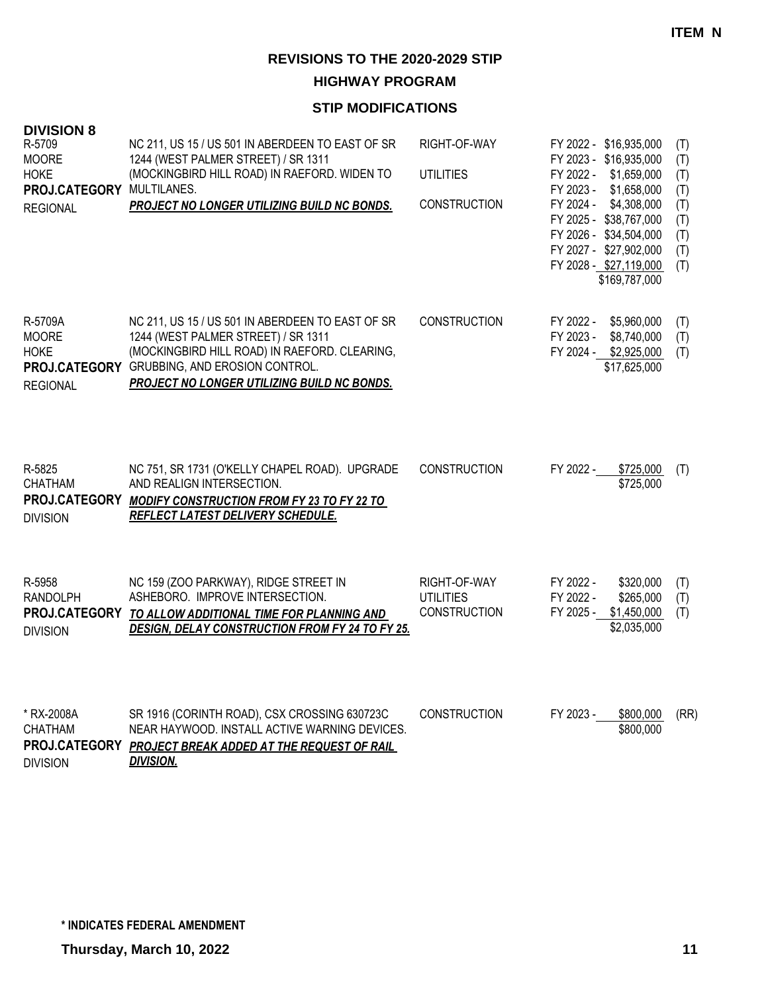**HIGHWAY PROGRAM**

| <b>DIVISION 8</b>                                                         |                                                                                                                                                                                                                                         |                                                         |                                                                                                                                                                                                                                                               |                                                             |
|---------------------------------------------------------------------------|-----------------------------------------------------------------------------------------------------------------------------------------------------------------------------------------------------------------------------------------|---------------------------------------------------------|---------------------------------------------------------------------------------------------------------------------------------------------------------------------------------------------------------------------------------------------------------------|-------------------------------------------------------------|
| R-5709<br><b>MOORE</b><br><b>HOKE</b><br>PROJ.CATEGORY<br><b>REGIONAL</b> | NC 211, US 15 / US 501 IN ABERDEEN TO EAST OF SR<br>1244 (WEST PALMER STREET) / SR 1311<br>(MOCKINGBIRD HILL ROAD) IN RAEFORD. WIDEN TO<br>MULTILANES.<br><b>PROJECT NO LONGER UTILIZING BUILD NC BONDS.</b>                            | RIGHT-OF-WAY<br><b>UTILITIES</b><br><b>CONSTRUCTION</b> | FY 2022 - \$16,935,000<br>FY 2023 - \$16,935,000<br>FY 2022 -<br>\$1,659,000<br>FY 2023 -<br>\$1,658,000<br>FY 2024 -<br>\$4,308,000<br>FY 2025 - \$38,767,000<br>FY 2026 - \$34,504,000<br>FY 2027 - \$27,902,000<br>FY 2028 - \$27,119,000<br>\$169,787,000 | (T)<br>(T)<br>(T)<br>(T)<br>(T)<br>(T)<br>(T)<br>(T)<br>(T) |
| R-5709A<br><b>MOORE</b><br><b>HOKE</b><br><b>REGIONAL</b>                 | NC 211, US 15 / US 501 IN ABERDEEN TO EAST OF SR<br>1244 (WEST PALMER STREET) / SR 1311<br>(MOCKINGBIRD HILL ROAD) IN RAEFORD. CLEARING,<br>PROJ.CATEGORY GRUBBING, AND EROSION CONTROL.<br>PROJECT NO LONGER UTILIZING BUILD NC BONDS. | <b>CONSTRUCTION</b>                                     | FY 2022 -<br>\$5,960,000<br>FY 2023 -<br>\$8,740,000<br>FY 2024 -<br>\$2,925,000<br>\$17,625,000                                                                                                                                                              | (T)<br>(T)<br>(T)                                           |
| R-5825<br>CHATHAM<br>PROJ.CATEGORY<br><b>DIVISION</b>                     | NC 751, SR 1731 (O'KELLY CHAPEL ROAD). UPGRADE<br>AND REALIGN INTERSECTION.<br><b>MODIFY CONSTRUCTION FROM FY 23 TO FY 22 TO</b><br><b>REFLECT LATEST DELIVERY SCHEDULE.</b>                                                            | <b>CONSTRUCTION</b>                                     | FY 2022 -<br>\$725,000<br>\$725,000                                                                                                                                                                                                                           | (T)                                                         |
| R-5958<br><b>RANDOLPH</b><br><b>DIVISION</b>                              | NC 159 (ZOO PARKWAY), RIDGE STREET IN<br>ASHEBORO. IMPROVE INTERSECTION.<br>PROJ.CATEGORY TO ALLOW ADDITIONAL TIME FOR PLANNING AND<br><b>DESIGN, DELAY CONSTRUCTION FROM FY 24 TO FY 25.</b>                                           | RIGHT-OF-WAY<br><b>UTILITIES</b><br><b>CONSTRUCTION</b> | FY 2022 -<br>\$320,000<br>FY 2022 -<br>\$265,000<br>FY 2025 -<br>\$1,450,000<br>\$2,035,000                                                                                                                                                                   | (T)<br>(T)<br>(T)                                           |
| * RX-2008A<br>CHATHAM<br>PROJ.CATEGORY<br><b>DIVISION</b>                 | SR 1916 (CORINTH ROAD), CSX CROSSING 630723C<br>NEAR HAYWOOD. INSTALL ACTIVE WARNING DEVICES.<br>PROJECT BREAK ADDED AT THE REQUEST OF RAIL<br><b>DIVISION.</b>                                                                         | <b>CONSTRUCTION</b>                                     | FY 2023 -<br>\$800,000<br>\$800,000                                                                                                                                                                                                                           | (RR)                                                        |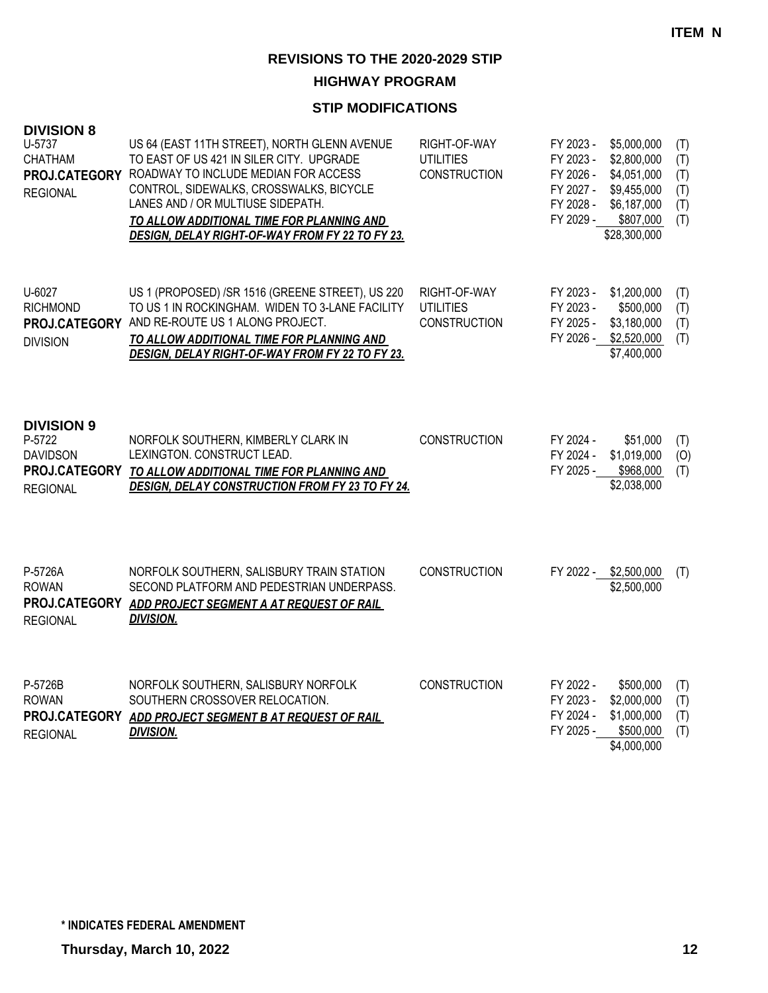### **HIGHWAY PROGRAM**

| <b>DIVISION 8</b><br>U-5737<br><b>CHATHAM</b><br><b>REGIONAL</b>  | US 64 (EAST 11TH STREET), NORTH GLENN AVENUE<br>TO EAST OF US 421 IN SILER CITY. UPGRADE<br>PROJ.CATEGORY ROADWAY TO INCLUDE MEDIAN FOR ACCESS<br>CONTROL, SIDEWALKS, CROSSWALKS, BICYCLE<br>LANES AND / OR MULTIUSE SIDEPATH.<br>TO ALLOW ADDITIONAL TIME FOR PLANNING AND<br><b>DESIGN, DELAY RIGHT-OF-WAY FROM FY 22 TO FY 23.</b> | RIGHT-OF-WAY<br><b>UTILITIES</b><br><b>CONSTRUCTION</b> | FY 2023 -<br>FY 2023 -<br>FY 2026 -<br>FY 2027 -<br>FY 2028 -<br>FY 2029 - | \$5,000,000<br>\$2,800,000<br>\$4,051,000<br>\$9,455,000<br>\$6,187,000<br>\$807,000<br>\$28,300,000 | (T)<br>(T)<br>(T)<br>(T)<br>(T)<br>(T) |
|-------------------------------------------------------------------|---------------------------------------------------------------------------------------------------------------------------------------------------------------------------------------------------------------------------------------------------------------------------------------------------------------------------------------|---------------------------------------------------------|----------------------------------------------------------------------------|------------------------------------------------------------------------------------------------------|----------------------------------------|
| U-6027<br><b>RICHMOND</b><br><b>DIVISION</b>                      | US 1 (PROPOSED) /SR 1516 (GREENE STREET), US 220<br>TO US 1 IN ROCKINGHAM. WIDEN TO 3-LANE FACILITY<br>PROJ.CATEGORY AND RE-ROUTE US 1 ALONG PROJECT.<br>TO ALLOW ADDITIONAL TIME FOR PLANNING AND<br>DESIGN, DELAY RIGHT-OF-WAY FROM FY 22 TO FY 23.                                                                                 | RIGHT-OF-WAY<br><b>UTILITIES</b><br><b>CONSTRUCTION</b> | FY 2023 -<br>FY 2023 -<br>FY 2025 -<br>FY 2026 -                           | \$1,200,000<br>\$500,000<br>\$3,180,000<br>\$2,520,000<br>\$7,400,000                                | (T)<br>(T)<br>(T)<br>(T)               |
| <b>DIVISION 9</b><br>P-5722<br><b>DAVIDSON</b><br><b>REGIONAL</b> | NORFOLK SOUTHERN, KIMBERLY CLARK IN<br>LEXINGTON. CONSTRUCT LEAD.<br>PROJ.CATEGORY TO ALLOW ADDITIONAL TIME FOR PLANNING AND<br><b>DESIGN, DELAY CONSTRUCTION FROM FY 23 TO FY 24.</b>                                                                                                                                                | <b>CONSTRUCTION</b>                                     | FY 2024 -<br>FY 2024 -<br>FY 2025 -                                        | \$51,000<br>\$1,019,000<br>\$968,000<br>\$2,038,000                                                  | (T)<br>(O)<br>(T)                      |
| P-5726A<br><b>ROWAN</b><br><b>REGIONAL</b>                        | NORFOLK SOUTHERN, SALISBURY TRAIN STATION<br>SECOND PLATFORM AND PEDESTRIAN UNDERPASS.<br>PROJ.CATEGORY ADD PROJECT SEGMENT A AT REQUEST OF RAIL<br><b>DIVISION.</b>                                                                                                                                                                  | <b>CONSTRUCTION</b>                                     |                                                                            | FY 2022 - \$2,500,000<br>\$2,500,000                                                                 | (T)                                    |
| P-5726B<br><b>ROWAN</b><br><b>REGIONAL</b>                        | NORFOLK SOUTHERN, SALISBURY NORFOLK<br>SOUTHERN CROSSOVER RELOCATION.<br>PROJ.CATEGORY ADD PROJECT SEGMENT B AT REQUEST OF RAIL<br><b>DIVISION.</b>                                                                                                                                                                                   | <b>CONSTRUCTION</b>                                     | FY 2022 -<br>FY 2023 -<br>FY 2024 -<br>FY 2025 -                           | \$500,000<br>\$2,000,000<br>\$1,000,000<br>\$500,000<br>\$4,000,000                                  | (T)<br>(T)<br>(T)<br>(T)               |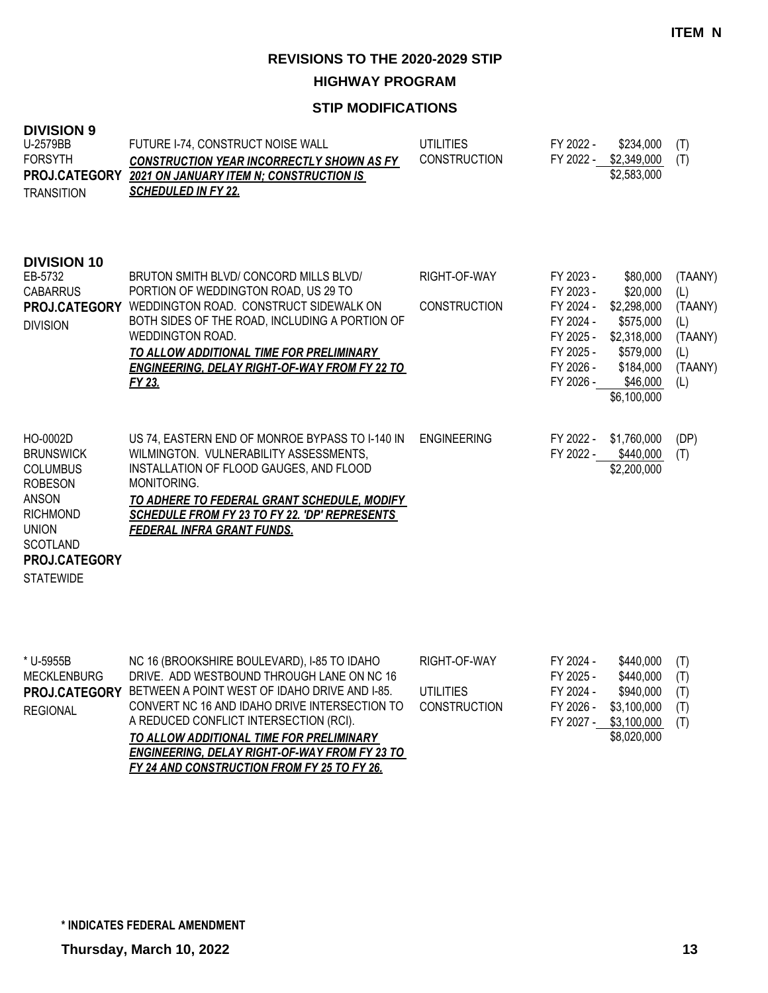**HIGHWAY PROGRAM**

| <b>DIVISION 9</b><br>U-2579BB<br><b>FORSYTH</b><br><b>PROJ.CATEGORY</b><br><b>TRANSITION</b>                                                                                        | FUTURE I-74, CONSTRUCT NOISE WALL<br><b>CONSTRUCTION YEAR INCORRECTLY SHOWN AS FY</b><br><b>2021 ON JANUARY ITEM N; CONSTRUCTION IS</b><br><b>SCHEDULED IN FY 22.</b>                                                                                                                                        | <b>UTILITIES</b><br><b>CONSTRUCTION</b> | FY 2022 -                                                                                            | \$234,000<br>FY 2022 - \$2,349,000<br>\$2,583,000                                                                    | (T)<br>(T)                                                           |
|-------------------------------------------------------------------------------------------------------------------------------------------------------------------------------------|--------------------------------------------------------------------------------------------------------------------------------------------------------------------------------------------------------------------------------------------------------------------------------------------------------------|-----------------------------------------|------------------------------------------------------------------------------------------------------|----------------------------------------------------------------------------------------------------------------------|----------------------------------------------------------------------|
| <b>DIVISION 10</b><br>EB-5732<br><b>CABARRUS</b><br>PROJ.CATEGORY<br><b>DIVISION</b>                                                                                                | BRUTON SMITH BLVD/ CONCORD MILLS BLVD/<br>PORTION OF WEDDINGTON ROAD, US 29 TO<br>WEDDINGTON ROAD. CONSTRUCT SIDEWALK ON<br>BOTH SIDES OF THE ROAD, INCLUDING A PORTION OF<br>WEDDINGTON ROAD.<br>TO ALLOW ADDITIONAL TIME FOR PRELIMINARY<br><b>ENGINEERING, DELAY RIGHT-OF-WAY FROM FY 22 TO</b><br>FY 23. | RIGHT-OF-WAY<br><b>CONSTRUCTION</b>     | FY 2023 -<br>FY 2023 -<br>FY 2024 -<br>FY 2024 -<br>FY 2025 -<br>FY 2025 -<br>FY 2026 -<br>FY 2026 - | \$80,000<br>\$20,000<br>\$2,298,000<br>\$575,000<br>\$2,318,000<br>\$579,000<br>\$184,000<br>\$46,000<br>\$6,100,000 | (TAANY)<br>(L)<br>(TAANY)<br>(L)<br>(TAANY)<br>(L)<br>(TAANY)<br>(L) |
| HO-0002D<br><b>BRUNSWICK</b><br><b>COLUMBUS</b><br><b>ROBESON</b><br><b>ANSON</b><br><b>RICHMOND</b><br><b>UNION</b><br><b>SCOTLAND</b><br><b>PROJ.CATEGORY</b><br><b>STATEWIDE</b> | US 74, EASTERN END OF MONROE BYPASS TO I-140 IN<br>WILMINGTON. VULNERABILITY ASSESSMENTS,<br>INSTALLATION OF FLOOD GAUGES, AND FLOOD<br>MONITORING.<br>TO ADHERE TO FEDERAL GRANT SCHEDULE, MODIFY<br>SCHEDULE FROM FY 23 TO FY 22. 'DP' REPRESENTS<br><b>FEDERAL INFRA GRANT FUNDS.</b>                     | <b>ENGINEERING</b>                      | FY 2022 -<br>FY 2022 -                                                                               | \$1,760,000<br>\$440,000<br>\$2,200,000                                                                              | (DP)<br>(T)                                                          |

| * U-5955B       | NC 16 (BROOKSHIRE BOULEVARD), I-85 TO IDAHO                 | RIGHT-OF-WAY        | FY 2024 - | \$440.000   | (T) |
|-----------------|-------------------------------------------------------------|---------------------|-----------|-------------|-----|
| MECKLENBURG     | DRIVE. ADD WESTBOUND THROUGH LANE ON NC 16                  |                     | FY 2025 - | \$440,000   | (T) |
|                 | PROJ.CATEGORY BETWEEN A POINT WEST OF IDAHO DRIVE AND I-85. | <b>UTILITIES</b>    | FY 2024 - | \$940,000   | (T) |
| <b>REGIONAL</b> | CONVERT NC 16 AND IDAHO DRIVE INTERSECTION TO               | <b>CONSTRUCTION</b> | FY 2026 - | \$3,100,000 | (T) |
|                 | A REDUCED CONFLICT INTERSECTION (RCI).                      |                     | FY 2027 - | \$3,100,000 | (T) |
|                 | TO ALLOW ADDITIONAL TIME FOR PRELIMINARY                    |                     |           | \$8,020,000 |     |
|                 | <b>ENGINEERING, DELAY RIGHT-OF-WAY FROM FY 23 TO</b>        |                     |           |             |     |
|                 | FY 24 AND CONSTRUCTION FROM FY 25 TO FY 26.                 |                     |           |             |     |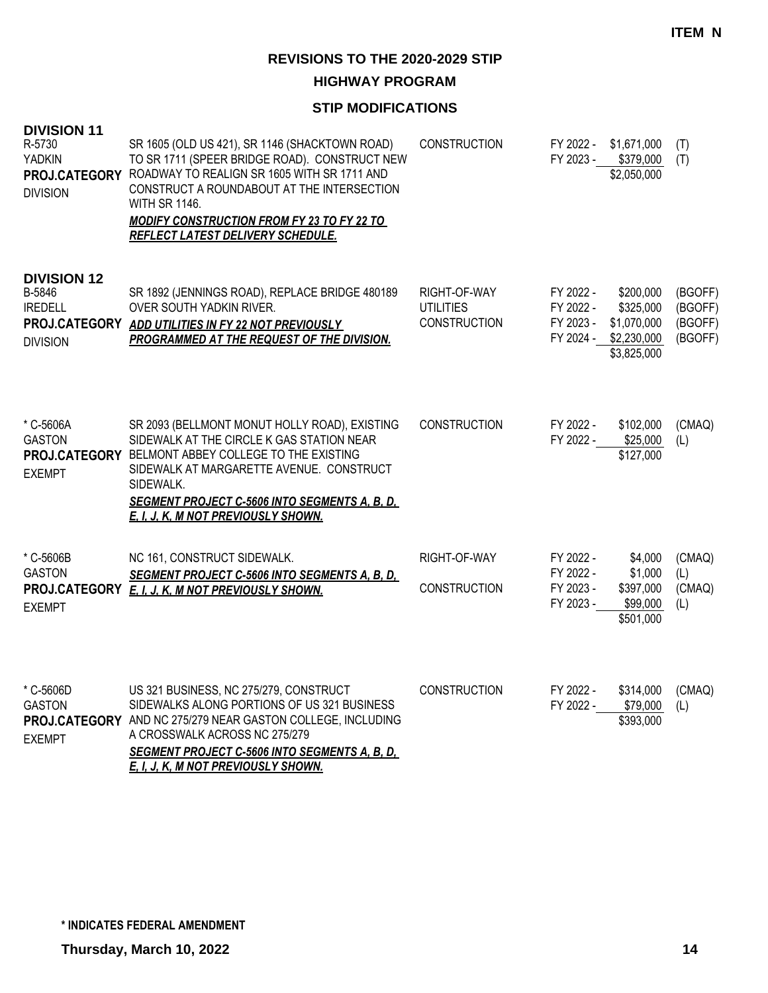**HIGHWAY PROGRAM**

| <b>DIVISION 11</b><br>R-5730<br><b>YADKIN</b><br><b>DIVISION</b>  | SR 1605 (OLD US 421), SR 1146 (SHACKTOWN ROAD)<br>TO SR 1711 (SPEER BRIDGE ROAD). CONSTRUCT NEW<br>PROJ.CATEGORY ROADWAY TO REALIGN SR 1605 WITH SR 1711 AND<br>CONSTRUCT A ROUNDABOUT AT THE INTERSECTION<br><b>WITH SR 1146.</b><br><b>MODIFY CONSTRUCTION FROM FY 23 TO FY 22 TO</b><br><b>REFLECT LATEST DELIVERY SCHEDULE.</b> | <b>CONSTRUCTION</b>                                     | FY 2022 -<br>FY 2023 -                           | \$1,671,000<br>\$379,000<br>\$2,050,000                                       | (T)<br>(T)                               |
|-------------------------------------------------------------------|-------------------------------------------------------------------------------------------------------------------------------------------------------------------------------------------------------------------------------------------------------------------------------------------------------------------------------------|---------------------------------------------------------|--------------------------------------------------|-------------------------------------------------------------------------------|------------------------------------------|
| <b>DIVISION 12</b><br>B-5846<br><b>IREDELL</b><br><b>DIVISION</b> | SR 1892 (JENNINGS ROAD), REPLACE BRIDGE 480189<br>OVER SOUTH YADKIN RIVER.<br>PROJ.CATEGORY ADD UTILITIES IN FY 22 NOT PREVIOUSLY<br>PROGRAMMED AT THE REQUEST OF THE DIVISION.                                                                                                                                                     | RIGHT-OF-WAY<br><b>UTILITIES</b><br><b>CONSTRUCTION</b> | FY 2022 -<br>FY 2022 -<br>FY 2023 -              | \$200,000<br>\$325,000<br>\$1,070,000<br>FY 2024 - \$2,230,000<br>\$3,825,000 | (BGOFF)<br>(BGOFF)<br>(BGOFF)<br>(BGOFF) |
| * C-5606A<br><b>GASTON</b><br><b>EXEMPT</b>                       | SR 2093 (BELLMONT MONUT HOLLY ROAD), EXISTING<br>SIDEWALK AT THE CIRCLE K GAS STATION NEAR<br>PROJ.CATEGORY BELMONT ABBEY COLLEGE TO THE EXISTING<br>SIDEWALK AT MARGARETTE AVENUE. CONSTRUCT<br>SIDEWALK.<br><b>SEGMENT PROJECT C-5606 INTO SEGMENTS A, B, D,</b><br>E. I. J. K. M NOT PREVIOUSLY SHOWN.                           | <b>CONSTRUCTION</b>                                     | FY 2022 -<br>FY 2022 -                           | \$102,000<br>\$25,000<br>\$127,000                                            | (CMAQ)<br>(L)                            |
| * C-5606B<br><b>GASTON</b><br><b>EXEMPT</b>                       | NC 161, CONSTRUCT SIDEWALK.<br><b>SEGMENT PROJECT C-5606 INTO SEGMENTS A, B, D,</b><br>PROJ.CATEGORY E. I. J. K. M NOT PREVIOUSLY SHOWN.                                                                                                                                                                                            | RIGHT-OF-WAY<br><b>CONSTRUCTION</b>                     | FY 2022 -<br>FY 2022 -<br>FY 2023 -<br>FY 2023 - | \$4,000<br>\$1,000<br>\$397,000<br>\$99,000<br>\$501,000                      | (CMAQ)<br>(L)<br>(CMAQ)<br>(L)           |
| * C-5606D<br><b>GASTON</b><br><b>EXEMPT</b>                       | US 321 BUSINESS, NC 275/279, CONSTRUCT<br>SIDEWALKS ALONG PORTIONS OF US 321 BUSINESS<br>PROJ.CATEGORY AND NC 275/279 NEAR GASTON COLLEGE, INCLUDING<br>A CROSSWALK ACROSS NC 275/279<br><b>SEGMENT PROJECT C-5606 INTO SEGMENTS A, B, D,</b><br>E. I. J. K. M NOT PREVIOUSLY SHOWN.                                                | <b>CONSTRUCTION</b>                                     | FY 2022 -<br>FY 2022 -                           | \$314,000<br>\$79,000<br>\$393,000                                            | (CMAQ)<br>(L)                            |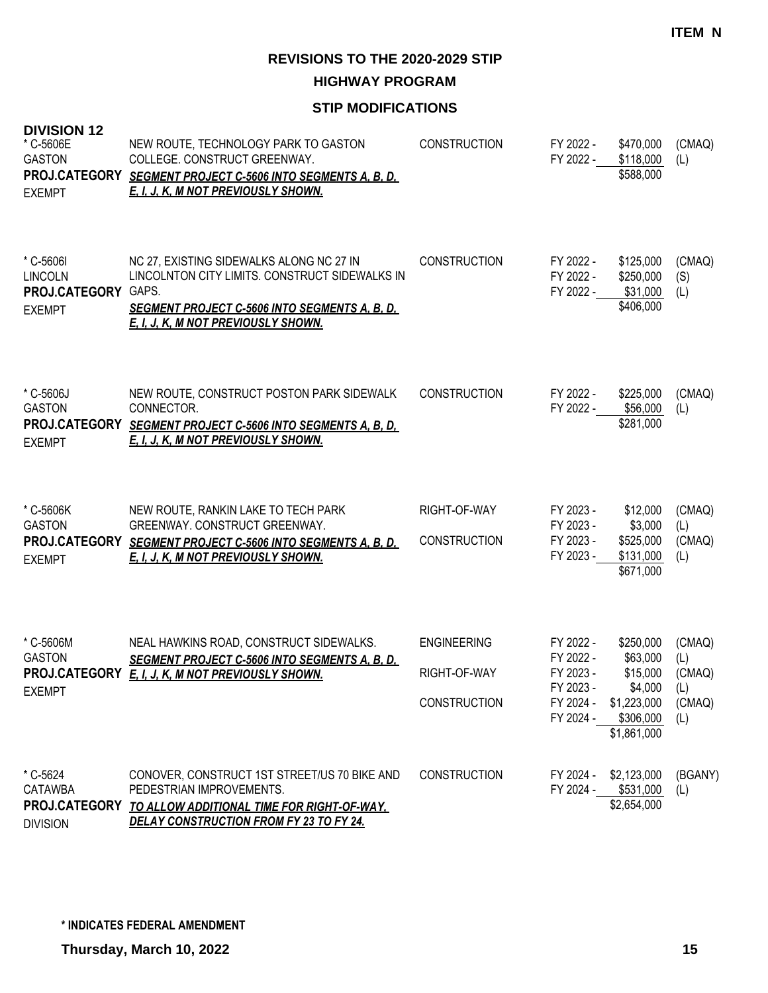**HIGHWAY PROGRAM**

| <b>DIVISION 12</b><br>* C-5606E<br><b>GASTON</b><br>PROJ.CATEGORY<br><b>EXEMPT</b> | NEW ROUTE, TECHNOLOGY PARK TO GASTON<br>COLLEGE. CONSTRUCT GREENWAY.<br><b>SEGMENT PROJECT C-5606 INTO SEGMENTS A, B, D,</b><br>E. I. J. K. M NOT PREVIOUSLY SHOWN.                               | <b>CONSTRUCTION</b>                                       | FY 2022 -<br>FY 2022 -                                                     | \$470,000<br>\$118,000<br>\$588,000                                                     | (CMAQ)<br>(L)                                   |
|------------------------------------------------------------------------------------|---------------------------------------------------------------------------------------------------------------------------------------------------------------------------------------------------|-----------------------------------------------------------|----------------------------------------------------------------------------|-----------------------------------------------------------------------------------------|-------------------------------------------------|
| * C-5606I<br><b>LINCOLN</b><br>PROJ.CATEGORY GAPS.<br><b>EXEMPT</b>                | NC 27, EXISTING SIDEWALKS ALONG NC 27 IN<br>LINCOLNTON CITY LIMITS. CONSTRUCT SIDEWALKS IN<br><u>SEGMENT PROJECT C-5606 INTO SEGMENTS A, B, D, </u><br><u>E. I. J. K. M NOT PREVIOUSLY SHOWN.</u> | <b>CONSTRUCTION</b>                                       | FY 2022 -<br>FY 2022 -<br>FY 2022 -                                        | \$125,000<br>\$250,000<br>\$31,000<br>\$406,000                                         | (CMAQ)<br>(S)<br>(L)                            |
| * C-5606J<br><b>GASTON</b><br>PROJ.CATEGORY<br><b>EXEMPT</b>                       | NEW ROUTE, CONSTRUCT POSTON PARK SIDEWALK<br>CONNECTOR.<br><b>SEGMENT PROJECT C-5606 INTO SEGMENTS A, B, D,</b><br>E. I. J. K. M NOT PREVIOUSLY SHOWN.                                            | <b>CONSTRUCTION</b>                                       | FY 2022 -<br>FY 2022 -                                                     | \$225,000<br>\$56,000<br>\$281,000                                                      | (CMAQ)<br>(L)                                   |
| * C-5606K<br><b>GASTON</b><br>PROJ.CATEGORY<br><b>EXEMPT</b>                       | NEW ROUTE, RANKIN LAKE TO TECH PARK<br>GREENWAY. CONSTRUCT GREENWAY.<br><b>SEGMENT PROJECT C-5606 INTO SEGMENTS A, B, D,</b><br><u>E, I, J, K, M NOT PREVIOUSLY SHOWN.</u>                        | RIGHT-OF-WAY<br><b>CONSTRUCTION</b>                       | FY 2023 -<br>FY 2023 -<br>FY 2023 -<br>FY 2023 -                           | \$12,000<br>\$3,000<br>\$525,000<br>\$131,000<br>\$671,000                              | (CMAQ)<br>(L)<br>(CMAQ)<br>(L)                  |
| * C-5606M<br><b>GASTON</b><br>PROJ.CATEGORY<br><b>EXEMPT</b>                       | NEAL HAWKINS ROAD, CONSTRUCT SIDEWALKS.<br><b>SEGMENT PROJECT C-5606 INTO SEGMENTS A, B, D,</b><br>E. I. J. K. M NOT PREVIOUSLY SHOWN.                                                            | <b>ENGINEERING</b><br>RIGHT-OF-WAY<br><b>CONSTRUCTION</b> | FY 2022 -<br>FY 2022 -<br>FY 2023 -<br>FY 2023 -<br>FY 2024 -<br>FY 2024 - | \$250,000<br>\$63,000<br>\$15,000<br>\$4,000<br>\$1,223,000<br>\$306,000<br>\$1,861,000 | (CMAQ)<br>(L)<br>(CMAQ)<br>(L)<br>(CMAQ)<br>(L) |
| * C-5624<br>CATAWBA<br>PROJ.CATEGORY<br><b>DIVISION</b>                            | CONOVER, CONSTRUCT 1ST STREET/US 70 BIKE AND<br>PEDESTRIAN IMPROVEMENTS.<br>TO ALLOW ADDITIONAL TIME FOR RIGHT-OF-WAY,<br><b>DELAY CONSTRUCTION FROM FY 23 TO FY 24.</b>                          | CONSTRUCTION                                              | FY 2024 -<br>FY 2024 -                                                     | \$2,123,000<br>\$531,000<br>\$2,654,000                                                 | (BGANY)<br>(L)                                  |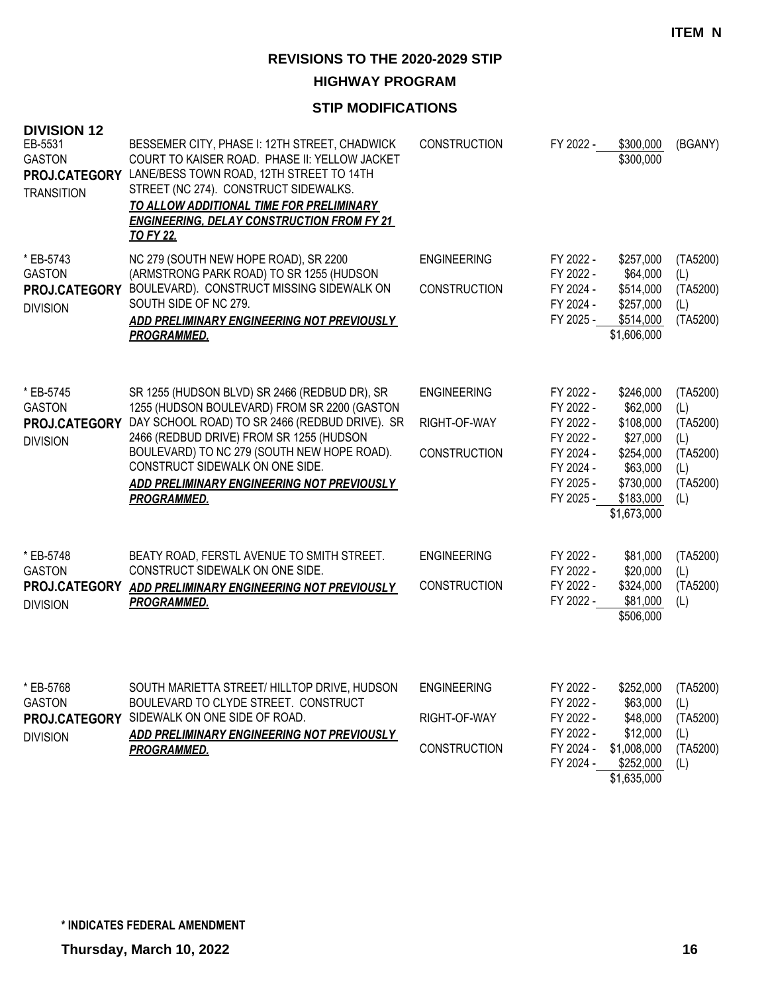**HIGHWAY PROGRAM**

| <b>DIVISION 12</b><br>EB-5531<br><b>GASTON</b><br>PROJ.CATEGORY<br><b>TRANSITION</b> | BESSEMER CITY, PHASE I: 12TH STREET, CHADWICK<br>COURT TO KAISER ROAD. PHASE II: YELLOW JACKET<br>LANE/BESS TOWN ROAD, 12TH STREET TO 14TH<br>STREET (NC 274). CONSTRUCT SIDEWALKS.<br>TO ALLOW ADDITIONAL TIME FOR PRELIMINARY<br><b>ENGINEERING, DELAY CONSTRUCTION FROM FY 21</b><br><b>TO FY 22.</b>                                          | CONSTRUCTION                                              | FY 2022 -                                                                                            | \$300,000<br>\$300,000                                                                                           | (BGANY)                                                                  |
|--------------------------------------------------------------------------------------|---------------------------------------------------------------------------------------------------------------------------------------------------------------------------------------------------------------------------------------------------------------------------------------------------------------------------------------------------|-----------------------------------------------------------|------------------------------------------------------------------------------------------------------|------------------------------------------------------------------------------------------------------------------|--------------------------------------------------------------------------|
| * EB-5743<br><b>GASTON</b><br>PROJ.CATEGORY<br><b>DIVISION</b>                       | NC 279 (SOUTH NEW HOPE ROAD), SR 2200<br>(ARMSTRONG PARK ROAD) TO SR 1255 (HUDSON<br>BOULEVARD). CONSTRUCT MISSING SIDEWALK ON<br>SOUTH SIDE OF NC 279.<br>ADD PRELIMINARY ENGINEERING NOT PREVIOUSLY<br><b>PROGRAMMED.</b>                                                                                                                       | <b>ENGINEERING</b><br><b>CONSTRUCTION</b>                 | FY 2022 -<br>FY 2022 -<br>FY 2024 -<br>FY 2024 -<br>FY 2025 -                                        | \$257,000<br>\$64,000<br>\$514,000<br>\$257,000<br>\$514,000<br>\$1,606,000                                      | (TA5200)<br>(L)<br>(TA5200)<br>(L)<br>(TA5200)                           |
| * EB-5745<br><b>GASTON</b><br>PROJ.CATEGORY<br><b>DIVISION</b>                       | SR 1255 (HUDSON BLVD) SR 2466 (REDBUD DR), SR<br>1255 (HUDSON BOULEVARD) FROM SR 2200 (GASTON<br>DAY SCHOOL ROAD) TO SR 2466 (REDBUD DRIVE). SR<br>2466 (REDBUD DRIVE) FROM SR 1255 (HUDSON<br>BOULEVARD) TO NC 279 (SOUTH NEW HOPE ROAD).<br>CONSTRUCT SIDEWALK ON ONE SIDE.<br>ADD PRELIMINARY ENGINEERING NOT PREVIOUSLY<br><u>PROGRAMMED.</u> | <b>ENGINEERING</b><br>RIGHT-OF-WAY<br><b>CONSTRUCTION</b> | FY 2022 -<br>FY 2022 -<br>FY 2022 -<br>FY 2022 -<br>FY 2024 -<br>FY 2024 -<br>FY 2025 -<br>FY 2025 - | \$246,000<br>\$62,000<br>\$108,000<br>\$27,000<br>\$254,000<br>\$63,000<br>\$730,000<br>\$183,000<br>\$1,673,000 | (TA5200)<br>(L)<br>(TA5200)<br>(L)<br>(TA5200)<br>(L)<br>(TA5200)<br>(L) |
| * EB-5748<br><b>GASTON</b><br>PROJ.CATEGORY<br><b>DIVISION</b>                       | BEATY ROAD, FERSTL AVENUE TO SMITH STREET.<br>CONSTRUCT SIDEWALK ON ONE SIDE.<br>ADD PRELIMINARY ENGINEERING NOT PREVIOUSLY<br><b>PROGRAMMED.</b>                                                                                                                                                                                                 | <b>ENGINEERING</b><br>CONSTRUCTION                        | FY 2022 -<br>FY 2022 -<br>FY 2022 -<br>FY 2022 -                                                     | \$81,000<br>\$20,000<br>\$324,000<br>\$81,000<br>\$506,000                                                       | (TA5200)<br>(L)<br>(TA5200)<br>(L)                                       |
| * EB-5768<br><b>GASTON</b><br><b>DIVISION</b>                                        | SOUTH MARIETTA STREET/ HILLTOP DRIVE, HUDSON<br>BOULEVARD TO CLYDE STREET. CONSTRUCT<br>PROJ.CATEGORY SIDEWALK ON ONE SIDE OF ROAD.<br>ADD PRELIMINARY ENGINEERING NOT PREVIOUSLY<br><b>PROGRAMMED.</b>                                                                                                                                           | <b>ENGINEERING</b><br>RIGHT-OF-WAY<br><b>CONSTRUCTION</b> | FY 2022 -<br>FY 2022 -<br>FY 2022 -<br>FY 2022 -<br>FY 2024 -<br>FY 2024 -                           | \$252,000 (TA5200)<br>\$63,000<br>\$48,000<br>\$12,000<br>\$1,008,000<br>\$252,000<br>\$1,635,000                | (L)<br>(TA5200)<br>(L)<br>(TA5200)<br>(L)                                |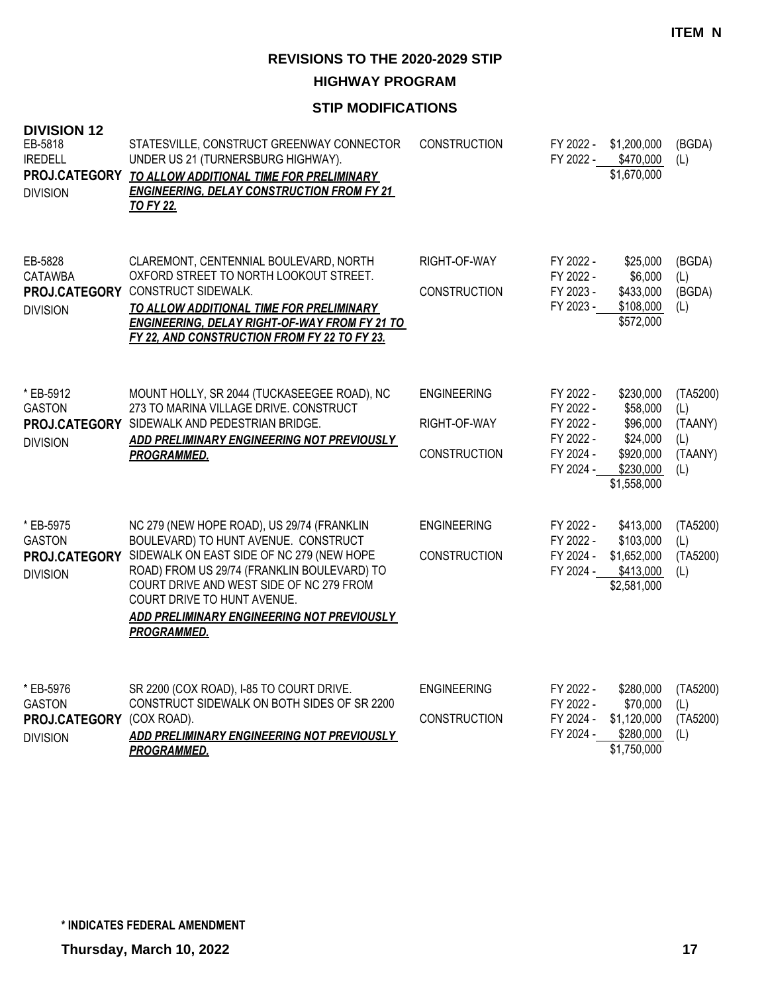**HIGHWAY PROGRAM**

| <b>DIVISION 12</b><br>EB-5818<br><b>IREDELL</b><br>PROJ.CATEGORY<br><b>DIVISION</b> | STATESVILLE, CONSTRUCT GREENWAY CONNECTOR<br>UNDER US 21 (TURNERSBURG HIGHWAY).<br>TO ALLOW ADDITIONAL TIME FOR PRELIMINARY<br><b>ENGINEERING, DELAY CONSTRUCTION FROM FY 21</b><br><b>TO FY 22.</b>                                                                                                                          | <b>CONSTRUCTION</b>                                       | FY 2022 -<br>FY 2022 -                                                     | \$1,200,000<br>\$470,000<br>\$1,670,000                                                | (BGDA)<br>(L)                                       |
|-------------------------------------------------------------------------------------|-------------------------------------------------------------------------------------------------------------------------------------------------------------------------------------------------------------------------------------------------------------------------------------------------------------------------------|-----------------------------------------------------------|----------------------------------------------------------------------------|----------------------------------------------------------------------------------------|-----------------------------------------------------|
| EB-5828<br><b>CATAWBA</b><br>PROJ.CATEGORY<br><b>DIVISION</b>                       | CLAREMONT, CENTENNIAL BOULEVARD, NORTH<br>OXFORD STREET TO NORTH LOOKOUT STREET.<br>CONSTRUCT SIDEWALK.<br>TO ALLOW ADDITIONAL TIME FOR PRELIMINARY<br><b>ENGINEERING, DELAY RIGHT-OF-WAY FROM FY 21 TO</b><br>FY 22, AND CONSTRUCTION FROM FY 22 TO FY 23.                                                                   | RIGHT-OF-WAY<br><b>CONSTRUCTION</b>                       | FY 2022 -<br>FY 2022 -<br>FY 2023 -<br>FY 2023 -                           | \$25,000<br>\$6,000<br>\$433,000<br>\$108,000<br>\$572,000                             | (BGDA)<br>(L)<br>(BGDA)<br>(L)                      |
| * EB-5912<br><b>GASTON</b><br><b>DIVISION</b>                                       | MOUNT HOLLY, SR 2044 (TUCKASEEGEE ROAD), NC<br>273 TO MARINA VILLAGE DRIVE. CONSTRUCT<br>PROJ.CATEGORY SIDEWALK AND PEDESTRIAN BRIDGE.<br>ADD PRELIMINARY ENGINEERING NOT PREVIOUSLY<br><b>PROGRAMMED.</b>                                                                                                                    | <b>ENGINEERING</b><br>RIGHT-OF-WAY<br><b>CONSTRUCTION</b> | FY 2022 -<br>FY 2022 -<br>FY 2022 -<br>FY 2022 -<br>FY 2024 -<br>FY 2024 - | \$230,000<br>\$58,000<br>\$96,000<br>\$24,000<br>\$920,000<br>\$230,000<br>\$1,558,000 | (TA5200)<br>(L)<br>(TAANY)<br>(L)<br>(TAANY)<br>(L) |
| * EB-5975<br><b>GASTON</b><br>PROJ.CATEGORY<br><b>DIVISION</b>                      | NC 279 (NEW HOPE ROAD), US 29/74 (FRANKLIN<br>BOULEVARD) TO HUNT AVENUE. CONSTRUCT<br>SIDEWALK ON EAST SIDE OF NC 279 (NEW HOPE<br>ROAD) FROM US 29/74 (FRANKLIN BOULEVARD) TO<br>COURT DRIVE AND WEST SIDE OF NC 279 FROM<br>COURT DRIVE TO HUNT AVENUE.<br>ADD PRELIMINARY ENGINEERING NOT PREVIOUSLY<br><b>PROGRAMMED.</b> | <b>ENGINEERING</b><br>CONSTRUCTION                        | FY 2022 -<br>FY 2022 -<br>FY 2024 -<br>FY 2024 -                           | \$413,000<br>\$103,000<br>\$1,652,000<br>\$413,000<br>\$2,581,000                      | (TA5200)<br>(L)<br>(TA5200)<br>(L)                  |
| * EB-5976<br><b>GASTON</b><br>PROJ.CATEGORY<br><b>DIVISION</b>                      | SR 2200 (COX ROAD), I-85 TO COURT DRIVE.<br>CONSTRUCT SIDEWALK ON BOTH SIDES OF SR 2200<br>(COX ROAD).<br>ADD PRELIMINARY ENGINEERING NOT PREVIOUSLY<br>PROGRAMMED.                                                                                                                                                           | <b>ENGINEERING</b><br><b>CONSTRUCTION</b>                 | FY 2022 -<br>FY 2022 -<br>FY 2024 -<br>FY 2024 -                           | \$280,000<br>\$70,000<br>\$1,120,000<br>\$280,000<br>\$1,750,000                       | (TA5200)<br>(L)<br>(TA5200)<br>(L)                  |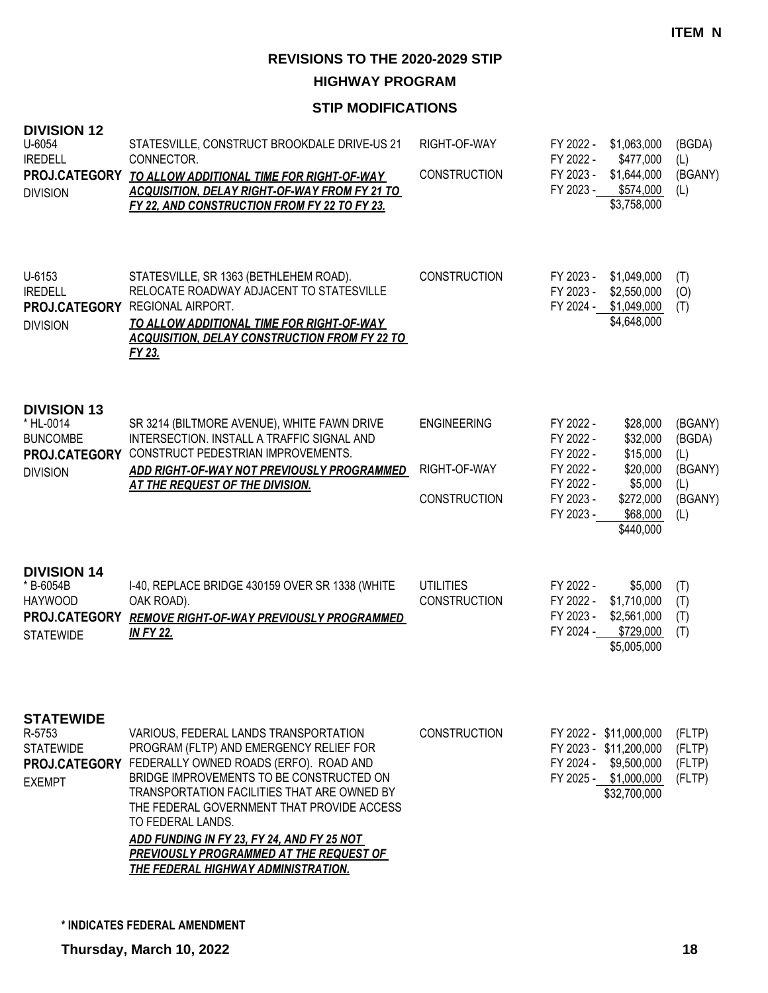**HIGHWAY PROGRAM**

| <b>DIVISION 12</b><br>U-6054<br><b>IREDELL</b><br><b>DIVISION</b>                      | STATESVILLE, CONSTRUCT BROOKDALE DRIVE-US 21<br>CONNECTOR.<br>PROJ.CATEGORY TO ALLOW ADDITIONAL TIME FOR RIGHT-OF-WAY<br><b>ACQUISITION, DELAY RIGHT-OF-WAY FROM FY 21 TO</b><br>FY 22, AND CONSTRUCTION FROM FY 22 TO FY 23.                                                                                                                                                                                                                 | RIGHT-OF-WAY<br><b>CONSTRUCTION</b>                       | FY 2022 -<br>FY 2022 -<br>FY 2023 -<br>FY 2023 -                                        | \$1,063,000<br>\$477,000<br>\$1,644,000<br>\$574,000<br>\$3,758,000                                                | (BGDA)<br>(L)<br>(BGANY)<br>(L)                              |
|----------------------------------------------------------------------------------------|-----------------------------------------------------------------------------------------------------------------------------------------------------------------------------------------------------------------------------------------------------------------------------------------------------------------------------------------------------------------------------------------------------------------------------------------------|-----------------------------------------------------------|-----------------------------------------------------------------------------------------|--------------------------------------------------------------------------------------------------------------------|--------------------------------------------------------------|
| U-6153<br><b>IREDELL</b><br><b>DIVISION</b>                                            | STATESVILLE, SR 1363 (BETHLEHEM ROAD).<br>RELOCATE ROADWAY ADJACENT TO STATESVILLE<br>PROJ.CATEGORY REGIONAL AIRPORT.<br>TO ALLOW ADDITIONAL TIME FOR RIGHT-OF-WAY<br><b>ACQUISITION, DELAY CONSTRUCTION FROM FY 22 TO</b><br>FY 23.                                                                                                                                                                                                          | <b>CONSTRUCTION</b>                                       | FY 2023 -<br>FY 2023 -                                                                  | \$1,049,000<br>\$2,550,000<br>FY 2024 - \$1,049,000<br>\$4,648,000                                                 | (T)<br>(0)<br>(T)                                            |
| <b>DIVISION 13</b><br>* HL-0014<br><b>BUNCOMBE</b><br><b>DIVISION</b>                  | SR 3214 (BILTMORE AVENUE), WHITE FAWN DRIVE<br>INTERSECTION. INSTALL A TRAFFIC SIGNAL AND<br>PROJ.CATEGORY CONSTRUCT PEDESTRIAN IMPROVEMENTS.<br>ADD RIGHT-OF-WAY NOT PREVIOUSLY PROGRAMMED<br><u>AT THE REQUEST OF THE DIVISION.</u>                                                                                                                                                                                                         | <b>ENGINEERING</b><br>RIGHT-OF-WAY<br><b>CONSTRUCTION</b> | FY 2022 -<br>FY 2022 -<br>FY 2022 -<br>FY 2022 -<br>FY 2022 -<br>FY 2023 -<br>FY 2023 - | \$28,000<br>\$32,000<br>\$15,000<br>\$20,000<br>\$5,000<br>\$272,000<br>\$68,000<br>\$440,000                      | (BGANY)<br>(BGDA)<br>(L)<br>(BGANY)<br>(L)<br>(BGANY)<br>(L) |
| <b>DIVISION 14</b><br>* B-6054B<br><b>HAYWOOD</b><br>PROJ.CATEGORY<br><b>STATEWIDE</b> | I-40, REPLACE BRIDGE 430159 OVER SR 1338 (WHITE<br>OAK ROAD).<br><b>REMOVE RIGHT-OF-WAY PREVIOUSLY PROGRAMMED</b><br><b>IN FY 22.</b>                                                                                                                                                                                                                                                                                                         | <b>UTILITIES</b><br><b>CONSTRUCTION</b>                   | FY 2022 -<br>FY 2022 -<br>FY 2023 -<br>FY 2024 -                                        | \$5,000<br>\$1,710,000<br>\$2,561,000<br>\$729,000<br>\$5,005,000                                                  | (T)<br>(T)<br>(T)<br>(T)                                     |
| <b>STATEWIDE</b><br>R-5753<br><b>STATEWIDE</b><br><b>EXEMPT</b>                        | VARIOUS, FEDERAL LANDS TRANSPORTATION<br>PROGRAM (FLTP) AND EMERGENCY RELIEF FOR<br>PROJ.CATEGORY FEDERALLY OWNED ROADS (ERFO). ROAD AND<br>BRIDGE IMPROVEMENTS TO BE CONSTRUCTED ON<br>TRANSPORTATION FACILITIES THAT ARE OWNED BY<br>THE FEDERAL GOVERNMENT THAT PROVIDE ACCESS<br>TO FEDERAL LANDS.<br>ADD FUNDING IN FY 23, FY 24, AND FY 25 NOT<br>PREVIOUSLY PROGRAMMED AT THE REQUEST OF<br><b>THE FEDERAL HIGHWAY ADMINISTRATION.</b> | <b>CONSTRUCTION</b>                                       |                                                                                         | FY 2022 - \$11,000,000<br>FY 2023 - \$11,200,000<br>FY 2024 - \$9,500,000<br>FY 2025 - \$1,000,000<br>\$32,700,000 | (FLTP)<br>(FLTP)<br>(FLTP)<br>(FLTP)                         |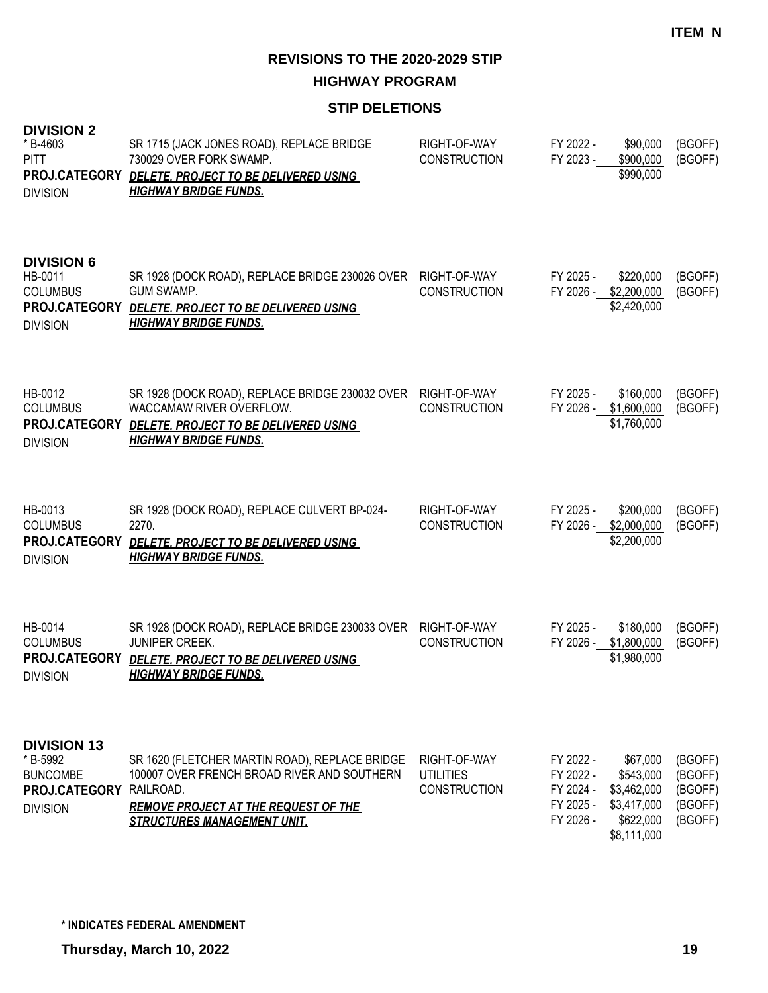**HIGHWAY PROGRAM**

#### **STIP DELETIONS**

| <b>DIVISION 2</b><br>* B-4603<br><b>PITT</b><br>PROJ.CATEGORY<br><b>DIVISION</b>      | SR 1715 (JACK JONES ROAD), REPLACE BRIDGE<br>730029 OVER FORK SWAMP.<br>DELETE. PROJECT TO BE DELIVERED USING<br><b>HIGHWAY BRIDGE FUNDS.</b>                                                   | RIGHT-OF-WAY<br><b>CONSTRUCTION</b>                     | FY 2022 -<br>FY 2023 -                                        | \$90,000<br>\$900,000<br>\$990,000                                              | (BGOFF)<br>(BGOFF)                                  |
|---------------------------------------------------------------------------------------|-------------------------------------------------------------------------------------------------------------------------------------------------------------------------------------------------|---------------------------------------------------------|---------------------------------------------------------------|---------------------------------------------------------------------------------|-----------------------------------------------------|
| <b>DIVISION 6</b><br>HB-0011<br><b>COLUMBUS</b><br>PROJ.CATEGORY<br><b>DIVISION</b>   | SR 1928 (DOCK ROAD), REPLACE BRIDGE 230026 OVER<br><b>GUM SWAMP.</b><br>DELETE. PROJECT TO BE DELIVERED USING<br><u>HIGHWAY BRIDGE FUNDS.</u>                                                   | RIGHT-OF-WAY<br><b>CONSTRUCTION</b>                     | FY 2025 -<br>FY 2026 -                                        | \$220,000<br>\$2,200,000<br>\$2,420,000                                         | (BGOFF)<br>(BGOFF)                                  |
| HB-0012<br><b>COLUMBUS</b><br>PROJ.CATEGORY<br><b>DIVISION</b>                        | SR 1928 (DOCK ROAD), REPLACE BRIDGE 230032 OVER<br>WACCAMAW RIVER OVERFLOW.<br>DELETE. PROJECT TO BE DELIVERED USING<br><b>HIGHWAY BRIDGE FUNDS.</b>                                            | RIGHT-OF-WAY<br><b>CONSTRUCTION</b>                     | FY 2025 -<br>FY 2026 -                                        | \$160,000<br>\$1,600,000<br>\$1,760,000                                         | (BGOFF)<br>(BGOFF)                                  |
| HB-0013<br><b>COLUMBUS</b><br>PROJ.CATEGORY<br><b>DIVISION</b>                        | SR 1928 (DOCK ROAD), REPLACE CULVERT BP-024-<br>2270.<br>DELETE. PROJECT TO BE DELIVERED USING<br><b>HIGHWAY BRIDGE FUNDS.</b>                                                                  | RIGHT-OF-WAY<br><b>CONSTRUCTION</b>                     | FY 2025 -<br>FY 2026 -                                        | \$200,000<br>\$2,000,000<br>\$2,200,000                                         | (BGOFF)<br>(BGOFF)                                  |
| HB-0014<br><b>COLUMBUS</b><br>PROJ.CATEGORY<br><b>DIVISION</b>                        | SR 1928 (DOCK ROAD), REPLACE BRIDGE 230033 OVER<br>JUNIPER CREEK.<br>DELETE. PROJECT TO BE DELIVERED USING<br><b>HIGHWAY BRIDGE FUNDS.</b>                                                      | RIGHT-OF-WAY<br><b>CONSTRUCTION</b>                     | FY 2025 -<br>FY 2026 -                                        | \$180,000<br>\$1,800,000<br>\$1,980,000                                         | (BGOFF)<br>(BGOFF)                                  |
| <b>DIVISION 13</b><br>* B-5992<br><b>BUNCOMBE</b><br>PROJ.CATEGORY<br><b>DIVISION</b> | SR 1620 (FLETCHER MARTIN ROAD), REPLACE BRIDGE<br>100007 OVER FRENCH BROAD RIVER AND SOUTHERN<br>RAILROAD.<br><b>REMOVE PROJECT AT THE REQUEST OF THE</b><br><b>STRUCTURES MANAGEMENT UNIT.</b> | RIGHT-OF-WAY<br><b>UTILITIES</b><br><b>CONSTRUCTION</b> | FY 2022 -<br>FY 2022 -<br>FY 2024 -<br>FY 2025 -<br>FY 2026 - | \$67,000<br>\$543,000<br>\$3,462,000<br>\$3,417,000<br>\$622,000<br>\$8,111,000 | (BGOFF)<br>(BGOFF)<br>(BGOFF)<br>(BGOFF)<br>(BGOFF) |